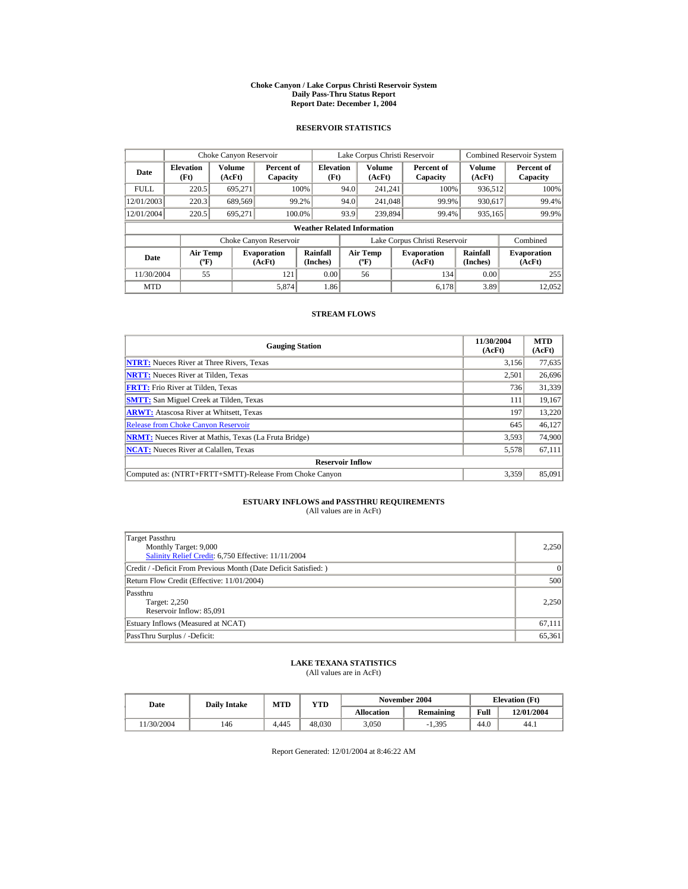#### **Choke Canyon / Lake Corpus Christi Reservoir System Daily Pass-Thru Status Report Report Date: December 1, 2004**

## **RESERVOIR STATISTICS**

|             | Choke Canyon Reservoir                      |                  |                              |                          | Lake Corpus Christi Reservoir |                                             |  |                               |                      | <b>Combined Reservoir System</b> |  |  |
|-------------|---------------------------------------------|------------------|------------------------------|--------------------------|-------------------------------|---------------------------------------------|--|-------------------------------|----------------------|----------------------------------|--|--|
| Date        | <b>Elevation</b><br>(Ft)                    | Volume<br>(AcFt) | Percent of<br>Capacity       | <b>Elevation</b><br>(Ft) |                               | Volume<br>(AcFt)                            |  | Percent of<br>Capacity        | Volume<br>(AcFt)     | Percent of<br>Capacity           |  |  |
| <b>FULL</b> | 220.5                                       | 695.271          |                              | 100%                     | 94.0                          | 241.241                                     |  | 100%                          | 936,512              | 100%                             |  |  |
| 12/01/2003  | 220.3                                       | 689,569          |                              | 99.2%                    | 94.0                          | 241,048                                     |  | 99.9%                         | 930,617              | 99.4%                            |  |  |
| 12/01/2004  | 220.5                                       | 695.271          |                              | 100.0%                   | 93.9                          | 239,894                                     |  | 99.4%                         | 935,165              | 99.9%                            |  |  |
|             | <b>Weather Related Information</b>          |                  |                              |                          |                               |                                             |  |                               |                      |                                  |  |  |
|             |                                             |                  | Choke Canyon Reservoir       |                          |                               |                                             |  | Lake Corpus Christi Reservoir |                      | Combined                         |  |  |
| Date        | <b>Air Temp</b><br>$({}^{\circ}\mathrm{F})$ |                  | <b>Evaporation</b><br>(AcFt) | Rainfall<br>(Inches)     |                               | <b>Air Temp</b><br>$({}^{\circ}\mathbf{F})$ |  | <b>Evaporation</b><br>(AcFt)  | Rainfall<br>(Inches) | <b>Evaporation</b><br>(AcFt)     |  |  |
| 11/30/2004  | 55                                          |                  | 121                          | 0.00                     |                               | 56                                          |  | 134                           | 0.00                 | 255                              |  |  |
| <b>MTD</b>  |                                             |                  | 5.874                        | 1.86                     |                               |                                             |  | 6.178                         | 3.89                 | 12,052                           |  |  |

### **STREAM FLOWS**

| <b>Gauging Station</b>                                       | 11/30/2004<br>(AcFt) | <b>MTD</b><br>(AcFt) |
|--------------------------------------------------------------|----------------------|----------------------|
| <b>NTRT:</b> Nueces River at Three Rivers, Texas             | 3,156                | 77,635               |
| <b>NRTT:</b> Nueces River at Tilden, Texas                   | 2,501                | 26,696               |
| <b>FRTT:</b> Frio River at Tilden, Texas                     | 736                  | 31,339               |
| <b>SMTT:</b> San Miguel Creek at Tilden, Texas               | 111                  | 19,167               |
| <b>ARWT:</b> Atascosa River at Whitsett, Texas               | 197                  | 13,220               |
| <b>Release from Choke Canyon Reservoir</b>                   | 645                  | 46,127               |
| <b>NRMT:</b> Nueces River at Mathis, Texas (La Fruta Bridge) | 3.593                | 74,900               |
| <b>NCAT:</b> Nueces River at Calallen, Texas                 | 5,578                | 67,111               |
| <b>Reservoir Inflow</b>                                      |                      |                      |
| Computed as: (NTRT+FRTT+SMTT)-Release From Choke Canyon      | 3.359                | 85,091               |

# **ESTUARY INFLOWS and PASSTHRU REQUIREMENTS**<br>(All values are in AcFt)

| Target Passthru<br>Monthly Target: 9,000<br>Salinity Relief Credit: 6,750 Effective: 11/11/2004 | 2,250  |
|-------------------------------------------------------------------------------------------------|--------|
| Credit / -Deficit From Previous Month (Date Deficit Satisfied:)                                 | 0      |
| Return Flow Credit (Effective: 11/01/2004)                                                      | 500    |
| Passthru<br>Target: 2,250<br>Reservoir Inflow: 85,091                                           | 2.250  |
| Estuary Inflows (Measured at NCAT)                                                              | 67,111 |
| PassThru Surplus / -Deficit:                                                                    | 65,361 |

## **LAKE TEXANA STATISTICS**

(All values are in AcFt)

| Date      | <b>Daily Intake</b> | <b>MTD</b> | YTD    |                   | November 2004 | <b>Elevation</b> (Ft) |            |
|-----------|---------------------|------------|--------|-------------------|---------------|-----------------------|------------|
|           |                     |            |        | <b>Allocation</b> | Remaining     | Full                  | 12/01/2004 |
| 1/30/2004 | 146                 | 4.445      | 48.030 | 3.050             | $-1.395$      | 44.0                  | 44.1       |

Report Generated: 12/01/2004 at 8:46:22 AM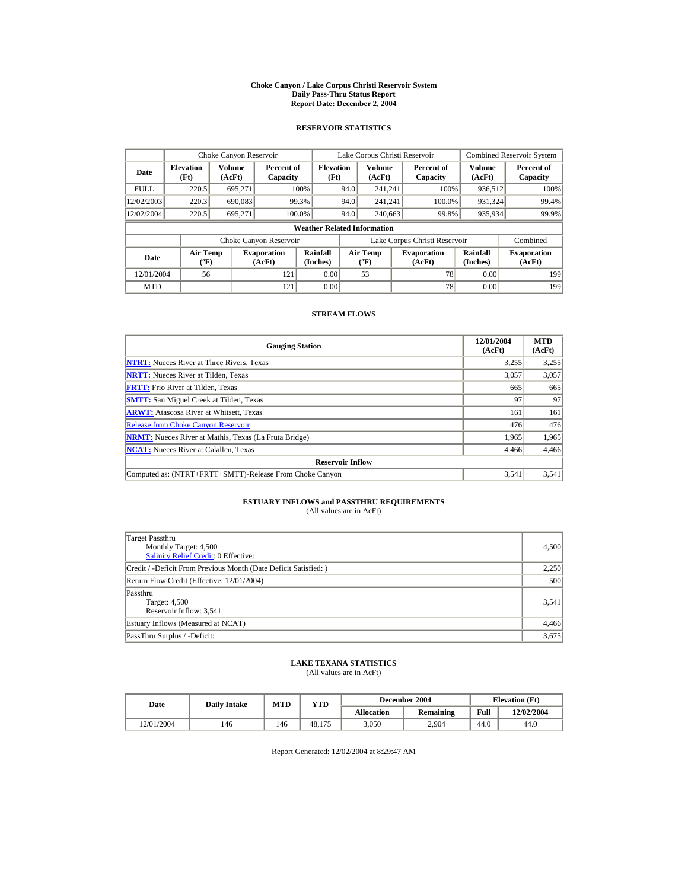#### **Choke Canyon / Lake Corpus Christi Reservoir System Daily Pass-Thru Status Report Report Date: December 2, 2004**

## **RESERVOIR STATISTICS**

|             | Choke Canyon Reservoir                      |                  |                              |                          | Lake Corpus Christi Reservoir |                                           |  |                               |                      | <b>Combined Reservoir System</b> |  |  |
|-------------|---------------------------------------------|------------------|------------------------------|--------------------------|-------------------------------|-------------------------------------------|--|-------------------------------|----------------------|----------------------------------|--|--|
| Date        | <b>Elevation</b><br>(Ft)                    | Volume<br>(AcFt) | Percent of<br>Capacity       | <b>Elevation</b><br>(Ft) |                               | Volume<br>(AcFt)                          |  | Percent of<br>Capacity        | Volume<br>(AcFt)     | Percent of<br>Capacity           |  |  |
| <b>FULL</b> | 220.5                                       | 695.271          |                              | 100%                     | 94.0                          | 241.241                                   |  | 100%                          | 936,512              | 100%                             |  |  |
| 12/02/2003  | 220.3                                       | 690.083          |                              | 99.3%                    | 94.0                          | 241.241                                   |  | 100.0%                        | 931,324              | 99.4%                            |  |  |
| 12/02/2004  | 220.5                                       | 695.271          |                              | 100.0%                   | 94.0                          | 240,663                                   |  | 99.8%                         | 935,934              | 99.9%                            |  |  |
|             | <b>Weather Related Information</b>          |                  |                              |                          |                               |                                           |  |                               |                      |                                  |  |  |
|             |                                             |                  | Choke Canyon Reservoir       |                          |                               |                                           |  | Lake Corpus Christi Reservoir |                      | Combined                         |  |  |
| Date        | <b>Air Temp</b><br>$({}^{\circ}\mathrm{F})$ |                  | <b>Evaporation</b><br>(AcFt) | Rainfall<br>(Inches)     |                               | <b>Air Temp</b><br>$({}^{\circ}\text{F})$ |  | <b>Evaporation</b><br>(AcFt)  | Rainfall<br>(Inches) | <b>Evaporation</b><br>(AcFt)     |  |  |
| 12/01/2004  | 56                                          |                  | 121                          | 0.00                     |                               | 53                                        |  | 78                            | 0.00                 | 199                              |  |  |
| <b>MTD</b>  |                                             |                  | 121                          | 0.00                     |                               |                                           |  | 78                            | 0.00                 | 199                              |  |  |

### **STREAM FLOWS**

| <b>Gauging Station</b>                                       | 12/01/2004<br>(AcFt) | <b>MTD</b><br>(AcFt) |
|--------------------------------------------------------------|----------------------|----------------------|
| <b>NTRT:</b> Nueces River at Three Rivers, Texas             | 3,255                | 3,255                |
| <b>NRTT:</b> Nueces River at Tilden, Texas                   | 3,057                | 3,057                |
| <b>FRTT:</b> Frio River at Tilden, Texas                     | 665                  | 665                  |
| <b>SMTT:</b> San Miguel Creek at Tilden, Texas               | 97                   | 97                   |
| <b>ARWT:</b> Atascosa River at Whitsett, Texas               | 161                  | 161                  |
| <b>Release from Choke Canyon Reservoir</b>                   | 476                  | 476                  |
| <b>NRMT:</b> Nueces River at Mathis, Texas (La Fruta Bridge) | 1.965                | 1,965                |
| <b>NCAT:</b> Nueces River at Calallen, Texas                 | 4,466                | 4,466                |
| <b>Reservoir Inflow</b>                                      |                      |                      |
| Computed as: (NTRT+FRTT+SMTT)-Release From Choke Canyon      | 3.541                | 3,541                |

# **ESTUARY INFLOWS and PASSTHRU REQUIREMENTS**<br>(All values are in AcFt)

| Target Passthru<br>Monthly Target: 4,500<br>Salinity Relief Credit: 0 Effective: | 4,500 |
|----------------------------------------------------------------------------------|-------|
| Credit / -Deficit From Previous Month (Date Deficit Satisfied:)                  | 2,250 |
| Return Flow Credit (Effective: 12/01/2004)                                       | 500   |
| Passthru<br>Target: 4,500<br>Reservoir Inflow: 3,541                             | 3,541 |
| Estuary Inflows (Measured at NCAT)                                               | 4,466 |
| PassThru Surplus / -Deficit:                                                     | 3,675 |

## **LAKE TEXANA STATISTICS**

(All values are in AcFt)

| Date       | <b>Daily Intake</b> | MTD | $_{\rm VTD}$ |            | December 2004 | <b>Elevation</b> (Ft) |            |
|------------|---------------------|-----|--------------|------------|---------------|-----------------------|------------|
|            |                     |     |              | Allocation | Remaining     | Full                  | 12/02/2004 |
| 12/01/2004 | 146                 | 146 | 48.175       | 3.050      | 2.904         | 44.0                  | 44.0       |

Report Generated: 12/02/2004 at 8:29:47 AM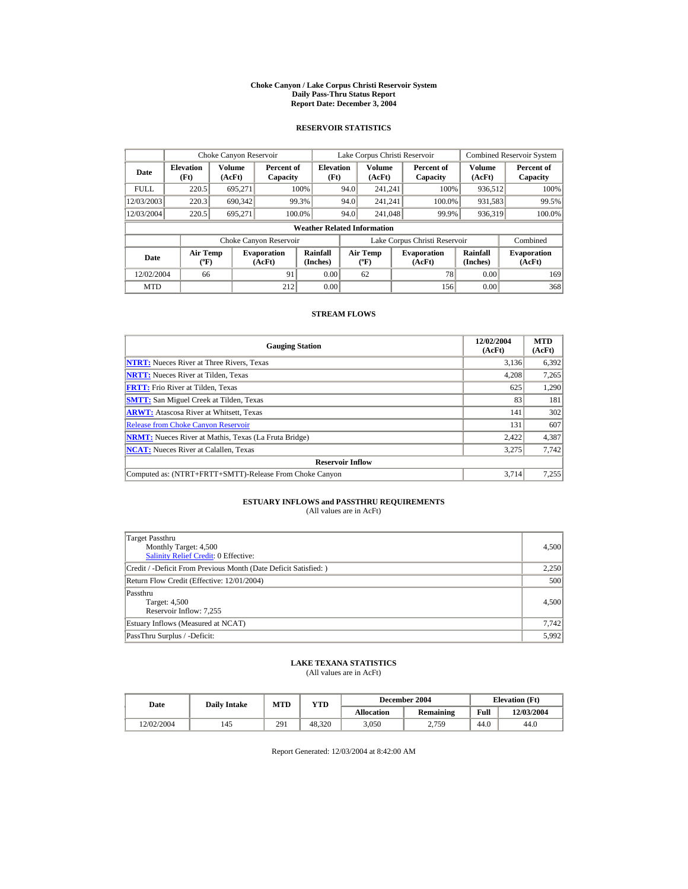#### **Choke Canyon / Lake Corpus Christi Reservoir System Daily Pass-Thru Status Report Report Date: December 3, 2004**

## **RESERVOIR STATISTICS**

|             | Choke Canyon Reservoir                      |                  |                              |                          |                                           | Lake Corpus Christi Reservoir |  |                               |                      | <b>Combined Reservoir System</b> |  |  |
|-------------|---------------------------------------------|------------------|------------------------------|--------------------------|-------------------------------------------|-------------------------------|--|-------------------------------|----------------------|----------------------------------|--|--|
| Date        | <b>Elevation</b><br>(Ft)                    | Volume<br>(AcFt) | Percent of<br>Capacity       | <b>Elevation</b><br>(Ft) |                                           | Volume<br>(AcFt)              |  | Percent of<br>Capacity        | Volume<br>(AcFt)     | Percent of<br>Capacity           |  |  |
| <b>FULL</b> | 220.5                                       | 695.271          |                              | 100%                     | 94.0                                      | 241.241                       |  | 100%                          | 936,512              | 100%                             |  |  |
| 12/03/2003  | 220.3                                       | 690,342          |                              | 99.3%                    | 94.0                                      | 241.241                       |  | 100.0%                        | 931,583              | 99.5%                            |  |  |
| 12/03/2004  | 220.5                                       | 695.271          | 100.0%                       |                          | 94.0                                      | 241,048                       |  | 99.9%                         | 936.319              | 100.0%                           |  |  |
|             | <b>Weather Related Information</b>          |                  |                              |                          |                                           |                               |  |                               |                      |                                  |  |  |
|             |                                             |                  | Choke Canyon Reservoir       |                          |                                           |                               |  | Lake Corpus Christi Reservoir |                      | Combined                         |  |  |
| Date        | <b>Air Temp</b><br>$({}^{\circ}\mathrm{F})$ |                  | <b>Evaporation</b><br>(AcFt) | Rainfall<br>(Inches)     | <b>Air Temp</b><br>$({}^{\circ}\text{F})$ |                               |  | <b>Evaporation</b><br>(AcFt)  | Rainfall<br>(Inches) | <b>Evaporation</b><br>(AcFt)     |  |  |
| 12/02/2004  | 66                                          |                  | 91                           | 0.00                     |                                           | 62                            |  | 78                            | 0.00                 | 169                              |  |  |
| <b>MTD</b>  |                                             |                  | 212                          | 0.00                     |                                           |                               |  | 156                           | 0.00                 | 368                              |  |  |

### **STREAM FLOWS**

| <b>Gauging Station</b>                                       | 12/02/2004<br>(AcFt) | <b>MTD</b><br>(AcFt) |
|--------------------------------------------------------------|----------------------|----------------------|
| <b>NTRT:</b> Nueces River at Three Rivers, Texas             | 3,136                | 6,392                |
| <b>NRTT:</b> Nueces River at Tilden, Texas                   | 4,208                | 7,265                |
| <b>FRTT:</b> Frio River at Tilden, Texas                     | 625                  | 1,290                |
| <b>SMTT:</b> San Miguel Creek at Tilden, Texas               | 83                   | 181                  |
| <b>ARWT:</b> Atascosa River at Whitsett, Texas               | 141                  | 302                  |
| <b>Release from Choke Canyon Reservoir</b>                   | 131                  | 607                  |
| <b>NRMT:</b> Nueces River at Mathis, Texas (La Fruta Bridge) | 2.422                | 4,387                |
| <b>NCAT:</b> Nueces River at Calallen, Texas                 | 3,275                | 7.742                |
| <b>Reservoir Inflow</b>                                      |                      |                      |
| Computed as: (NTRT+FRTT+SMTT)-Release From Choke Canyon      | 3.714                | 7,255                |

# **ESTUARY INFLOWS and PASSTHRU REQUIREMENTS**<br>(All values are in AcFt)

| Target Passthru<br>Monthly Target: 4,500<br><b>Salinity Relief Credit: 0 Effective:</b> | 4,500 |
|-----------------------------------------------------------------------------------------|-------|
| Credit / -Deficit From Previous Month (Date Deficit Satisfied:)                         | 2,250 |
| Return Flow Credit (Effective: 12/01/2004)                                              | 500   |
| Passthru<br>Target: 4,500<br>Reservoir Inflow: 7,255                                    | 4,500 |
| Estuary Inflows (Measured at NCAT)                                                      | 7,742 |
| PassThru Surplus / -Deficit:                                                            | 5,992 |

## **LAKE TEXANA STATISTICS**

(All values are in AcFt)

| Date       | <b>Daily Intake</b> | <b>MTD</b> | $_{\rm VTD}$ |            | December 2004 | <b>Elevation</b> (Ft) |            |
|------------|---------------------|------------|--------------|------------|---------------|-----------------------|------------|
|            |                     |            |              | Allocation | Remaining     | Full                  | 12/03/2004 |
| 12/02/2004 | 145                 | 291        | 48.320       | 3.050      | 2.759         | 44.0                  | 44.0       |

Report Generated: 12/03/2004 at 8:42:00 AM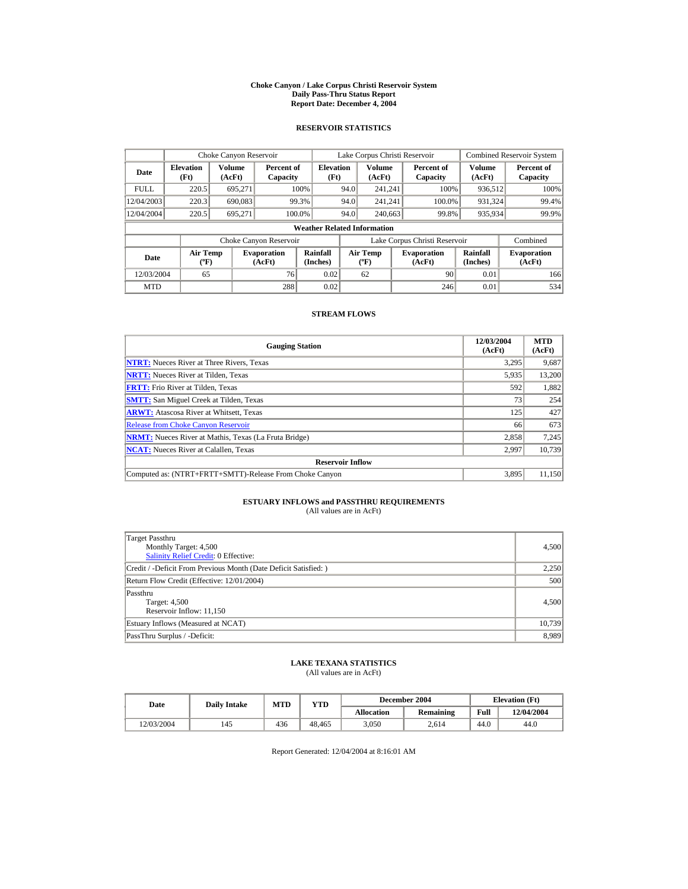#### **Choke Canyon / Lake Corpus Christi Reservoir System Daily Pass-Thru Status Report Report Date: December 4, 2004**

## **RESERVOIR STATISTICS**

|             | Choke Canyon Reservoir                      |                         |                              |                          | Lake Corpus Christi Reservoir             |                  |  |                               |                      | <b>Combined Reservoir System</b> |  |  |
|-------------|---------------------------------------------|-------------------------|------------------------------|--------------------------|-------------------------------------------|------------------|--|-------------------------------|----------------------|----------------------------------|--|--|
| Date        | <b>Elevation</b><br>(Ft)                    | <b>Volume</b><br>(AcFt) | Percent of<br>Capacity       | <b>Elevation</b><br>(Ft) |                                           | Volume<br>(AcFt) |  | Percent of<br>Capacity        | Volume<br>(AcFt)     | Percent of<br>Capacity           |  |  |
| <b>FULL</b> | 220.5                                       | 695.271                 |                              | 100%                     | 94.0                                      | 241.241          |  | 100%                          | 936,512              | 100%                             |  |  |
| 12/04/2003  | 220.3                                       | 690,083                 |                              | 99.3%                    | 94.0                                      | 241.241          |  | 100.0%                        | 931,324              | 99.4%                            |  |  |
| 12/04/2004  | 220.5                                       | 695.271                 | 100.0%                       |                          | 94.0                                      | 240,663          |  | 99.8%                         | 935,934              | 99.9%                            |  |  |
|             | <b>Weather Related Information</b>          |                         |                              |                          |                                           |                  |  |                               |                      |                                  |  |  |
|             |                                             |                         | Choke Canyon Reservoir       |                          |                                           |                  |  | Lake Corpus Christi Reservoir |                      | Combined                         |  |  |
| Date        | <b>Air Temp</b><br>$({}^{\circ}\mathrm{F})$ |                         | <b>Evaporation</b><br>(AcFt) | Rainfall<br>(Inches)     | <b>Air Temp</b><br>$({}^{\circ}\text{F})$ |                  |  | <b>Evaporation</b><br>(AcFt)  | Rainfall<br>(Inches) | <b>Evaporation</b><br>(AcFt)     |  |  |
| 12/03/2004  | 65                                          |                         | 76                           | 0.02                     |                                           | 62               |  | 90                            | 0.01                 | 166                              |  |  |
| <b>MTD</b>  |                                             |                         | 288                          | 0.02                     |                                           |                  |  | 246                           | 0.01                 | 534                              |  |  |

### **STREAM FLOWS**

| <b>Gauging Station</b>                                       | 12/03/2004<br>(AcFt) | <b>MTD</b><br>(AcFt) |
|--------------------------------------------------------------|----------------------|----------------------|
| <b>NTRT:</b> Nueces River at Three Rivers, Texas             | 3,295                | 9,687                |
| <b>NRTT:</b> Nueces River at Tilden, Texas                   | 5,935                | 13,200               |
| <b>FRTT:</b> Frio River at Tilden, Texas                     | 592                  | 1,882                |
| <b>SMTT:</b> San Miguel Creek at Tilden, Texas               | 73                   | 254                  |
| <b>ARWT:</b> Atascosa River at Whitsett, Texas               | 125                  | 427                  |
| <b>Release from Choke Canyon Reservoir</b>                   | 66                   | 673                  |
| <b>NRMT:</b> Nueces River at Mathis, Texas (La Fruta Bridge) | 2.858                | 7,245                |
| <b>NCAT:</b> Nueces River at Calallen, Texas                 | 2,997                | 10,739               |
| <b>Reservoir Inflow</b>                                      |                      |                      |
| Computed as: (NTRT+FRTT+SMTT)-Release From Choke Canyon      | 3.895                | 11,150               |

# **ESTUARY INFLOWS and PASSTHRU REQUIREMENTS**<br>(All values are in AcFt)

| Target Passthru<br>Monthly Target: 4,500<br>Salinity Relief Credit: 0 Effective: | 4,500  |
|----------------------------------------------------------------------------------|--------|
| Credit / -Deficit From Previous Month (Date Deficit Satisfied:)                  | 2,250  |
| Return Flow Credit (Effective: 12/01/2004)                                       | 500    |
| Passthru<br>Target: 4,500<br>Reservoir Inflow: 11,150                            | 4,500  |
| Estuary Inflows (Measured at NCAT)                                               | 10,739 |
| PassThru Surplus / -Deficit:                                                     | 8.989  |

## **LAKE TEXANA STATISTICS**

(All values are in AcFt)

| Date       | <b>Daily Intake</b> | <b>MTD</b> | YTD    |                   | December 2004 | <b>Elevation</b> (Ft) |            |
|------------|---------------------|------------|--------|-------------------|---------------|-----------------------|------------|
|            |                     |            |        | <b>Allocation</b> | Remaining     | Full                  | 12/04/2004 |
| 12/03/2004 | 145                 | 436        | 48.465 | 3.050             | 2.614         | 44.0                  | 44.0       |

Report Generated: 12/04/2004 at 8:16:01 AM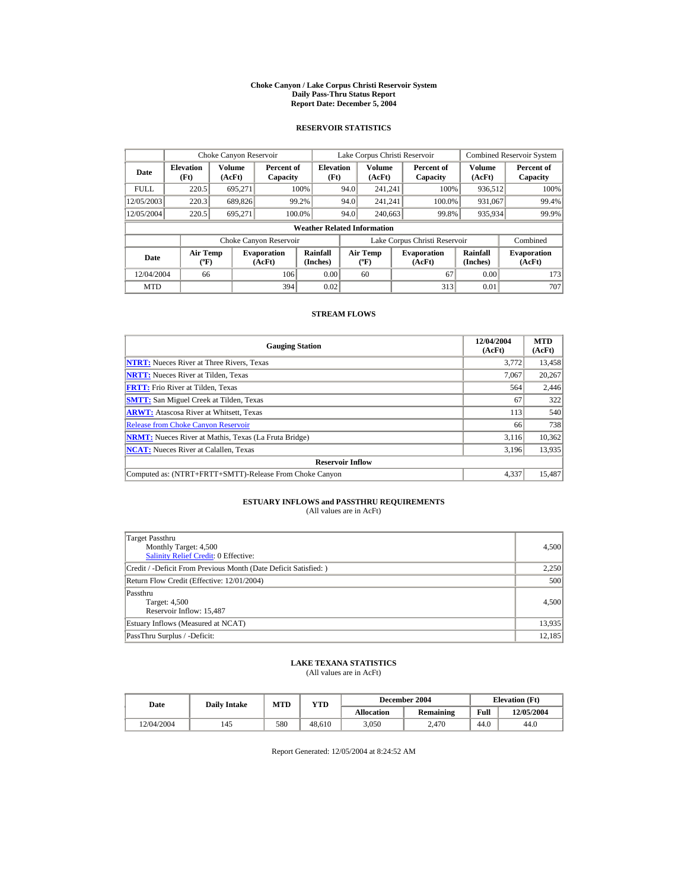#### **Choke Canyon / Lake Corpus Christi Reservoir System Daily Pass-Thru Status Report Report Date: December 5, 2004**

## **RESERVOIR STATISTICS**

|             | Choke Canyon Reservoir                      |                  |                              |                                    | Lake Corpus Christi Reservoir |                                           |  |                               |                      | <b>Combined Reservoir System</b> |
|-------------|---------------------------------------------|------------------|------------------------------|------------------------------------|-------------------------------|-------------------------------------------|--|-------------------------------|----------------------|----------------------------------|
| Date        | <b>Elevation</b><br>(Ft)                    | Volume<br>(AcFt) | Percent of<br>Capacity       | <b>Elevation</b><br>(Ft)           |                               | Volume<br>(AcFt)                          |  | Percent of<br>Capacity        | Volume<br>(AcFt)     | Percent of<br>Capacity           |
| <b>FULL</b> | 220.5                                       | 695.271          |                              | 100%                               | 94.0                          | 241.241                                   |  | 100%                          | 936,512              | 100%                             |
| 12/05/2003  | 220.3                                       | 689,826          |                              | 99.2%                              | 94.0                          | 241.241                                   |  | 100.0%                        | 931,067              | 99.4%                            |
| 12/05/2004  | 220.5                                       | 695.271          |                              | 100.0%                             | 94.0                          | 240,663                                   |  | 99.8%                         | 935,934              | 99.9%                            |
|             |                                             |                  |                              | <b>Weather Related Information</b> |                               |                                           |  |                               |                      |                                  |
|             |                                             |                  | Choke Canyon Reservoir       |                                    |                               |                                           |  | Lake Corpus Christi Reservoir |                      | Combined                         |
| Date        | <b>Air Temp</b><br>$({}^{\circ}\mathrm{F})$ |                  | <b>Evaporation</b><br>(AcFt) | Rainfall<br>(Inches)               |                               | <b>Air Temp</b><br>$({}^{\circ}\text{F})$ |  | <b>Evaporation</b><br>(AcFt)  | Rainfall<br>(Inches) | <b>Evaporation</b><br>(AcFt)     |
| 12/04/2004  | 66                                          |                  | 106                          | 0.00                               |                               | 60                                        |  | 67                            | 0.00                 | 173                              |
| <b>MTD</b>  |                                             |                  | 394                          | 0.02                               |                               |                                           |  | 313                           | 0.01                 | 707                              |

### **STREAM FLOWS**

| <b>Gauging Station</b>                                       | 12/04/2004<br>(AcFt) | <b>MTD</b><br>(AcFt) |
|--------------------------------------------------------------|----------------------|----------------------|
| <b>NTRT:</b> Nueces River at Three Rivers, Texas             | 3.772                | 13,458               |
| <b>NRTT:</b> Nueces River at Tilden, Texas                   | 7.067                | 20,267               |
| <b>FRTT:</b> Frio River at Tilden, Texas                     | 564                  | 2,446                |
| <b>SMTT:</b> San Miguel Creek at Tilden, Texas               | 67                   | 322                  |
| <b>ARWT:</b> Atascosa River at Whitsett, Texas               | 113                  | 540                  |
| <b>Release from Choke Canyon Reservoir</b>                   | 66                   | 738                  |
| <b>NRMT:</b> Nueces River at Mathis, Texas (La Fruta Bridge) | 3.116                | 10,362               |
| <b>NCAT:</b> Nueces River at Calallen, Texas                 | 3,196                | 13,935               |
| <b>Reservoir Inflow</b>                                      |                      |                      |
| Computed as: (NTRT+FRTT+SMTT)-Release From Choke Canyon      | 4.337                | 15,487               |

# **ESTUARY INFLOWS and PASSTHRU REQUIREMENTS**<br>(All values are in AcFt)

| Target Passthru<br>Monthly Target: 4,500<br><b>Salinity Relief Credit: 0 Effective:</b> | 4,500  |
|-----------------------------------------------------------------------------------------|--------|
| Credit / -Deficit From Previous Month (Date Deficit Satisfied: )                        | 2,250  |
| Return Flow Credit (Effective: 12/01/2004)                                              | 500    |
| Passthru<br>Target: 4,500<br>Reservoir Inflow: 15,487                                   | 4.500  |
| Estuary Inflows (Measured at NCAT)                                                      | 13,935 |
| PassThru Surplus / -Deficit:                                                            | 12,185 |

## **LAKE TEXANA STATISTICS**

(All values are in AcFt)

| Date       | <b>Daily Intake</b> | <b>MTD</b> | YTD    |                   | December 2004 |      | <b>Elevation</b> (Ft) |
|------------|---------------------|------------|--------|-------------------|---------------|------|-----------------------|
|            |                     |            |        | <b>Allocation</b> | Remaining     | Full | 12/05/2004            |
| 12/04/2004 | 145                 | 580        | 48.610 | 3.050             | 2.470         | 44.0 | 44.0                  |

Report Generated: 12/05/2004 at 8:24:52 AM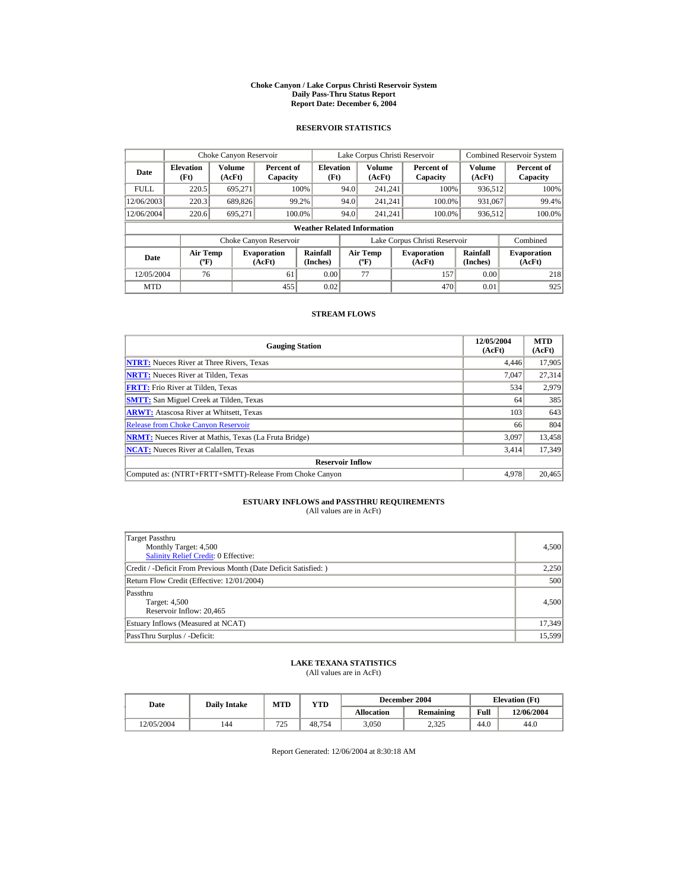#### **Choke Canyon / Lake Corpus Christi Reservoir System Daily Pass-Thru Status Report Report Date: December 6, 2004**

## **RESERVOIR STATISTICS**

|             | Choke Canyon Reservoir                      |                  |                              |                          | Lake Corpus Christi Reservoir             |                  |  |                               |                      | <b>Combined Reservoir System</b> |  |  |
|-------------|---------------------------------------------|------------------|------------------------------|--------------------------|-------------------------------------------|------------------|--|-------------------------------|----------------------|----------------------------------|--|--|
| Date        | <b>Elevation</b><br>(Ft)                    | Volume<br>(AcFt) | Percent of<br>Capacity       | <b>Elevation</b><br>(Ft) |                                           | Volume<br>(AcFt) |  | Percent of<br>Capacity        | Volume<br>(AcFt)     | Percent of<br>Capacity           |  |  |
| <b>FULL</b> | 220.5                                       | 695.271          |                              | 100%                     | 94.0                                      | 241.241          |  | 100%                          | 936,512              | 100%                             |  |  |
| 12/06/2003  | 220.3                                       | 689,826          |                              | 99.2%                    | 94.0                                      | 241.241          |  | 100.0%                        | 931,067              | 99.4%                            |  |  |
| 12/06/2004  | 220.6                                       | 695.271          |                              | 100.0%                   | 94.0                                      | 241.241          |  | 100.0%                        | 936,512              | 100.0%                           |  |  |
|             | <b>Weather Related Information</b>          |                  |                              |                          |                                           |                  |  |                               |                      |                                  |  |  |
|             |                                             |                  | Choke Canyon Reservoir       |                          |                                           |                  |  | Lake Corpus Christi Reservoir |                      | Combined                         |  |  |
| Date        | <b>Air Temp</b><br>$({}^{\circ}\mathrm{F})$ |                  | <b>Evaporation</b><br>(AcFt) | Rainfall<br>(Inches)     | <b>Air Temp</b><br>$({}^{\circ}\text{F})$ |                  |  | <b>Evaporation</b><br>(AcFt)  | Rainfall<br>(Inches) | <b>Evaporation</b><br>(AcFt)     |  |  |
| 12/05/2004  | 76                                          |                  | 61                           | 0.00                     |                                           | 77               |  | 157                           | 0.00                 | 218                              |  |  |
| <b>MTD</b>  |                                             |                  | 455                          | 0.02                     |                                           |                  |  | 470                           | 0.01                 | 925                              |  |  |

### **STREAM FLOWS**

| <b>Gauging Station</b>                                       | 12/05/2004<br>(AcFt) | <b>MTD</b><br>(AcFt) |
|--------------------------------------------------------------|----------------------|----------------------|
| <b>NTRT:</b> Nueces River at Three Rivers, Texas             | 4,446                | 17,905               |
| <b>NRTT:</b> Nueces River at Tilden, Texas                   | 7.047                | 27,314               |
| <b>FRTT:</b> Frio River at Tilden, Texas                     | 534                  | 2,979                |
| <b>SMTT:</b> San Miguel Creek at Tilden, Texas               | 64                   | 385                  |
| <b>ARWT:</b> Atascosa River at Whitsett, Texas               | 103                  | 643                  |
| <b>Release from Choke Canyon Reservoir</b>                   | 66                   | 804                  |
| <b>NRMT:</b> Nueces River at Mathis, Texas (La Fruta Bridge) | 3.097                | 13,458               |
| <b>NCAT:</b> Nueces River at Calallen, Texas                 | 3,414                | 17,349               |
| <b>Reservoir Inflow</b>                                      |                      |                      |
| Computed as: (NTRT+FRTT+SMTT)-Release From Choke Canyon      | 4.978                | 20,465               |

# **ESTUARY INFLOWS and PASSTHRU REQUIREMENTS**<br>(All values are in AcFt)

| Target Passthru<br>Monthly Target: 4,500<br><b>Salinity Relief Credit: 0 Effective:</b> | 4,500  |
|-----------------------------------------------------------------------------------------|--------|
| Credit / -Deficit From Previous Month (Date Deficit Satisfied:)                         | 2,250  |
| Return Flow Credit (Effective: 12/01/2004)                                              | 500    |
| Passthru<br>Target: 4,500<br>Reservoir Inflow: 20.465                                   | 4,500  |
| Estuary Inflows (Measured at NCAT)                                                      | 17,349 |
| PassThru Surplus / -Deficit:                                                            | 15,599 |

## **LAKE TEXANA STATISTICS**

(All values are in AcFt)

| Date       | <b>Daily Intake</b> | <b>MTD</b> | $v_{\rm TD}$ | December 2004 |           | <b>Elevation</b> (Ft) |            |
|------------|---------------------|------------|--------------|---------------|-----------|-----------------------|------------|
|            |                     |            |              | Allocation    | Remaining | Full                  | 12/06/2004 |
| 12/05/2004 | 144                 | 725        | 48.754       | 3.050         | 2.325     | 44.0                  | 44.0       |

Report Generated: 12/06/2004 at 8:30:18 AM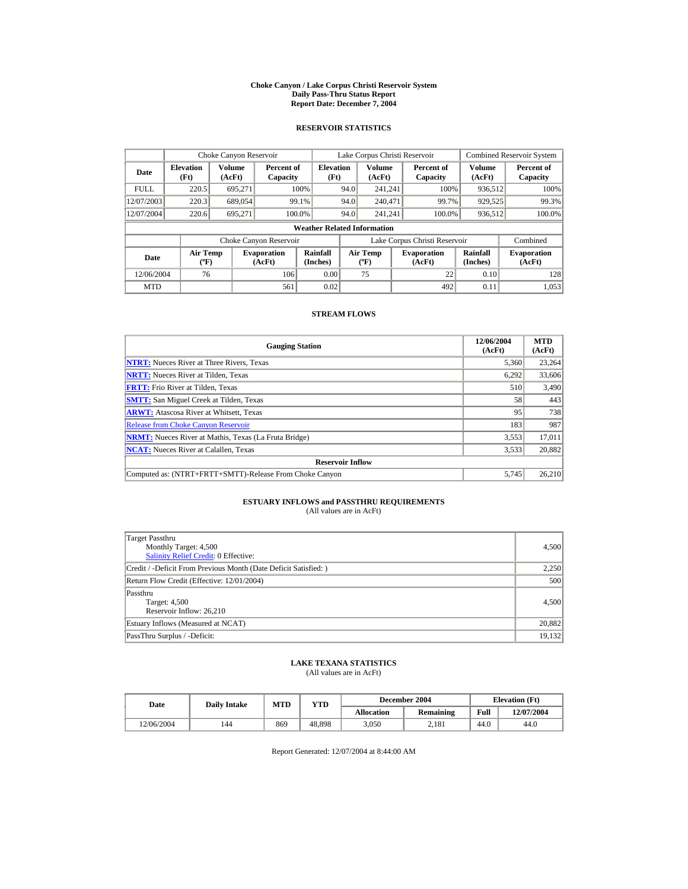#### **Choke Canyon / Lake Corpus Christi Reservoir System Daily Pass-Thru Status Report Report Date: December 7, 2004**

## **RESERVOIR STATISTICS**

|             | Choke Canyon Reservoir                      |                  |                              |                          | Lake Corpus Christi Reservoir             |                  |  |                               |                      | <b>Combined Reservoir System</b> |  |  |
|-------------|---------------------------------------------|------------------|------------------------------|--------------------------|-------------------------------------------|------------------|--|-------------------------------|----------------------|----------------------------------|--|--|
| Date        | <b>Elevation</b><br>(Ft)                    | Volume<br>(AcFt) | Percent of<br>Capacity       | <b>Elevation</b><br>(Ft) |                                           | Volume<br>(AcFt) |  | Percent of<br>Capacity        | Volume<br>(AcFt)     | Percent of<br>Capacity           |  |  |
| <b>FULL</b> | 220.5                                       | 695.271          |                              | 100%                     | 94.0                                      | 241.241          |  | 100%                          | 936,512              | 100%                             |  |  |
| 12/07/2003  | 220.3                                       | 689,054          | 99.1%                        |                          | 94.0                                      | 240,471          |  | 99.7%                         | 929,525              | 99.3%                            |  |  |
| 12/07/2004  | 220.6                                       | 695.271          | 100.0%                       |                          | 94.0                                      | 241.241          |  | 100.0%                        | 936,512              | 100.0%                           |  |  |
|             | <b>Weather Related Information</b>          |                  |                              |                          |                                           |                  |  |                               |                      |                                  |  |  |
|             |                                             |                  | Choke Canyon Reservoir       |                          |                                           |                  |  | Lake Corpus Christi Reservoir |                      | Combined                         |  |  |
| Date        | <b>Air Temp</b><br>$({}^{\circ}\mathrm{F})$ |                  | <b>Evaporation</b><br>(AcFt) | Rainfall<br>(Inches)     | <b>Air Temp</b><br>$({}^{\circ}\text{F})$ |                  |  | <b>Evaporation</b><br>(AcFt)  | Rainfall<br>(Inches) | <b>Evaporation</b><br>(AcFt)     |  |  |
| 12/06/2004  | 76                                          |                  | 106                          | 0.00                     |                                           | 75               |  | 22                            | 0.10                 | 128                              |  |  |
| <b>MTD</b>  |                                             |                  | 561                          | 0.02                     |                                           |                  |  | 492                           | 0.11                 | 1.053                            |  |  |

### **STREAM FLOWS**

| <b>Gauging Station</b>                                       | 12/06/2004<br>(AcFt) | <b>MTD</b><br>(AcFt) |
|--------------------------------------------------------------|----------------------|----------------------|
| <b>NTRT:</b> Nueces River at Three Rivers, Texas             | 5,360                | 23,264               |
| <b>NRTT:</b> Nueces River at Tilden, Texas                   | 6,292                | 33,606               |
| <b>FRTT:</b> Frio River at Tilden, Texas                     | 510                  | 3,490                |
| <b>SMTT:</b> San Miguel Creek at Tilden, Texas               | 58                   | 443                  |
| <b>ARWT:</b> Atascosa River at Whitsett, Texas               | 95                   | 738                  |
| <b>Release from Choke Canyon Reservoir</b>                   | 183                  | 987                  |
| <b>NRMT:</b> Nueces River at Mathis, Texas (La Fruta Bridge) | 3,553                | 17.011               |
| <b>NCAT:</b> Nueces River at Calallen, Texas                 | 3,533                | 20,882               |
| <b>Reservoir Inflow</b>                                      |                      |                      |
| Computed as: (NTRT+FRTT+SMTT)-Release From Choke Canyon      | 5.745                | 26,210               |

# **ESTUARY INFLOWS and PASSTHRU REQUIREMENTS**<br>(All values are in AcFt)

| Target Passthru<br>Monthly Target: 4,500<br>Salinity Relief Credit: 0 Effective: | 4,500  |
|----------------------------------------------------------------------------------|--------|
| Credit / -Deficit From Previous Month (Date Deficit Satisfied:)                  | 2,250  |
| Return Flow Credit (Effective: 12/01/2004)                                       | 500    |
| Passthru<br>Target: 4,500<br>Reservoir Inflow: 26,210                            | 4,500  |
| Estuary Inflows (Measured at NCAT)                                               | 20,882 |
| PassThru Surplus / -Deficit:                                                     | 19,132 |

## **LAKE TEXANA STATISTICS**

(All values are in AcFt)

| Date       | <b>Daily Intake</b> | <b>MTD</b> | $\mathbf{T} \mathbf{D}$ |            | December 2004 | <b>Elevation</b> (Ft) |            |
|------------|---------------------|------------|-------------------------|------------|---------------|-----------------------|------------|
|            |                     |            |                         | Allocation | Remaining     | Full                  | 12/07/2004 |
| 12/06/2004 | 144                 | 869        | 48.898                  | 3.050      | 2.181         | 44.0                  | 44.0       |

Report Generated: 12/07/2004 at 8:44:00 AM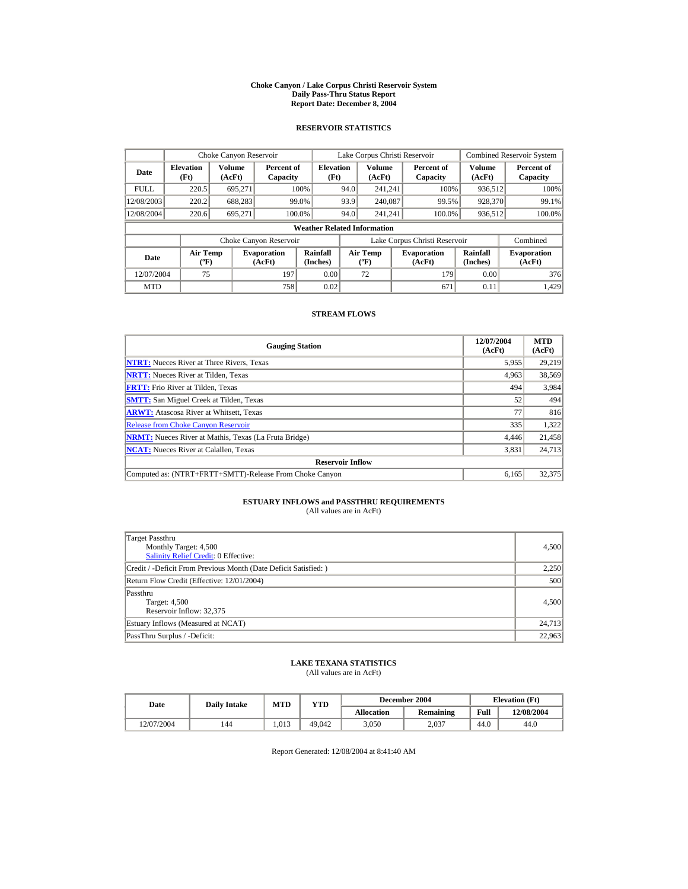#### **Choke Canyon / Lake Corpus Christi Reservoir System Daily Pass-Thru Status Report Report Date: December 8, 2004**

## **RESERVOIR STATISTICS**

|             | Choke Canyon Reservoir                      |                  |                              |                          | Lake Corpus Christi Reservoir |                                           |  |                               |                      | <b>Combined Reservoir System</b> |  |  |
|-------------|---------------------------------------------|------------------|------------------------------|--------------------------|-------------------------------|-------------------------------------------|--|-------------------------------|----------------------|----------------------------------|--|--|
| Date        | <b>Elevation</b><br>(Ft)                    | Volume<br>(AcFt) | Percent of<br>Capacity       | <b>Elevation</b><br>(Ft) |                               | Volume<br>(AcFt)                          |  | Percent of<br>Capacity        | Volume<br>(AcFt)     | Percent of<br>Capacity           |  |  |
| <b>FULL</b> | 220.5                                       | 695.271          |                              | 100%                     | 94.0                          | 241.241                                   |  | 100%                          | 936,512              | 100%                             |  |  |
| 12/08/2003  | 220.2                                       | 688,283          |                              | 99.0%                    | 93.9                          | 240,087                                   |  | 99.5%                         | 928,370              | 99.1%                            |  |  |
| 12/08/2004  | 220.6                                       | 695.271          | 100.0%                       |                          | 94.0                          | 241.241                                   |  | 100.0%                        | 936,512              | 100.0%                           |  |  |
|             | <b>Weather Related Information</b>          |                  |                              |                          |                               |                                           |  |                               |                      |                                  |  |  |
|             |                                             |                  | Choke Canyon Reservoir       |                          |                               |                                           |  | Lake Corpus Christi Reservoir |                      | Combined                         |  |  |
| Date        | <b>Air Temp</b><br>$({}^{\circ}\mathrm{F})$ |                  | <b>Evaporation</b><br>(AcFt) | Rainfall<br>(Inches)     |                               | <b>Air Temp</b><br>$({}^{\circ}\text{F})$ |  | <b>Evaporation</b><br>(AcFt)  | Rainfall<br>(Inches) | <b>Evaporation</b><br>(AcFt)     |  |  |
| 12/07/2004  | 75                                          |                  | 197                          | 0.00                     |                               | 72                                        |  | 179                           | 0.00                 | 376                              |  |  |
| <b>MTD</b>  |                                             |                  | 758                          | 0.02                     |                               |                                           |  | 671                           | 0.11                 | 1.429                            |  |  |

### **STREAM FLOWS**

| <b>Gauging Station</b>                                       | 12/07/2004<br>(AcFt) | <b>MTD</b><br>(AcFt) |
|--------------------------------------------------------------|----------------------|----------------------|
| <b>NTRT:</b> Nueces River at Three Rivers, Texas             | 5,955                | 29.219               |
| <b>NRTT:</b> Nueces River at Tilden, Texas                   | 4,963                | 38,569               |
| <b>FRTT:</b> Frio River at Tilden, Texas                     | 494                  | 3,984                |
| <b>SMTT:</b> San Miguel Creek at Tilden, Texas               | 52                   | 494                  |
| <b>ARWT:</b> Atascosa River at Whitsett, Texas               | 77                   | 816                  |
| <b>Release from Choke Canyon Reservoir</b>                   | 335                  | 1,322                |
| <b>NRMT:</b> Nueces River at Mathis, Texas (La Fruta Bridge) | 4.446                | 21.458               |
| <b>NCAT:</b> Nueces River at Calallen, Texas                 | 3,831                | 24,713               |
| <b>Reservoir Inflow</b>                                      |                      |                      |
| Computed as: (NTRT+FRTT+SMTT)-Release From Choke Canyon      | 6,165                | 32,375               |

# **ESTUARY INFLOWS and PASSTHRU REQUIREMENTS**<br>(All values are in AcFt)

| Target Passthru<br>Monthly Target: 4,500<br><b>Salinity Relief Credit: 0 Effective:</b> | 4,500  |
|-----------------------------------------------------------------------------------------|--------|
| Credit / -Deficit From Previous Month (Date Deficit Satisfied:)                         | 2,250  |
| Return Flow Credit (Effective: 12/01/2004)                                              | 500    |
| Passthru<br>Target: 4,500<br>Reservoir Inflow: 32.375                                   | 4,500  |
| Estuary Inflows (Measured at NCAT)                                                      | 24,713 |
| PassThru Surplus / -Deficit:                                                            | 22,963 |

## **LAKE TEXANA STATISTICS**

(All values are in AcFt)

| Date       | <b>Daily Intake</b> | <b>MTD</b> | YTD    |                   | December 2004 | <b>Elevation</b> (Ft) |            |
|------------|---------------------|------------|--------|-------------------|---------------|-----------------------|------------|
|            |                     |            |        | <b>Allocation</b> | Remaining     | Full                  | 12/08/2004 |
| 12/07/2004 | 144                 | 1.013      | 49,042 | 3.050             | 2.037         | 44.0                  | 44.0       |

Report Generated: 12/08/2004 at 8:41:40 AM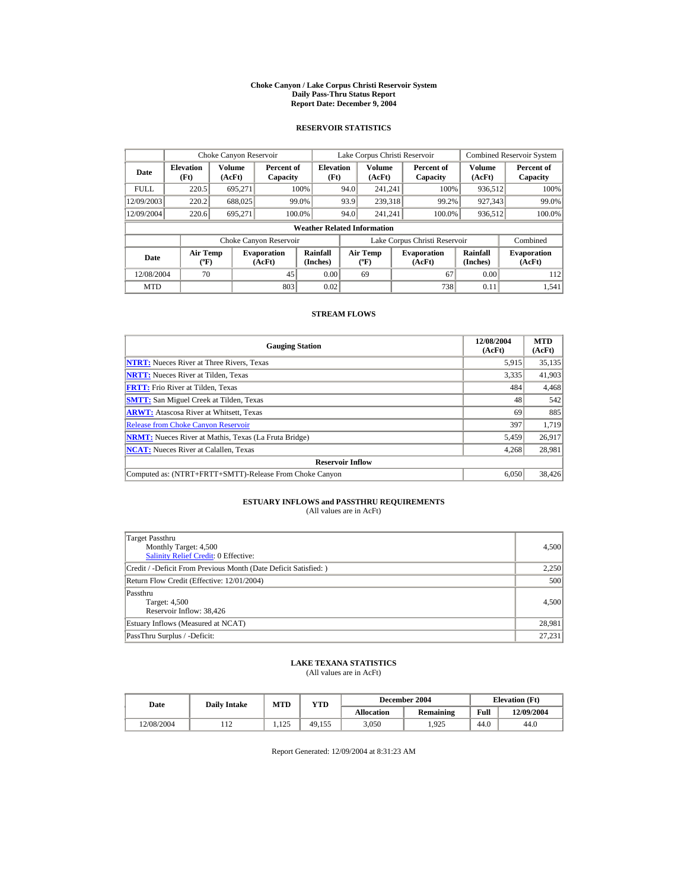#### **Choke Canyon / Lake Corpus Christi Reservoir System Daily Pass-Thru Status Report Report Date: December 9, 2004**

## **RESERVOIR STATISTICS**

|             | Choke Canyon Reservoir                      |                  |                              |                          | Lake Corpus Christi Reservoir             |                  |  |                               |                      | <b>Combined Reservoir System</b> |  |  |
|-------------|---------------------------------------------|------------------|------------------------------|--------------------------|-------------------------------------------|------------------|--|-------------------------------|----------------------|----------------------------------|--|--|
| Date        | <b>Elevation</b><br>(Ft)                    | Volume<br>(AcFt) | Percent of<br>Capacity       | <b>Elevation</b><br>(Ft) |                                           | Volume<br>(AcFt) |  | Percent of<br>Capacity        | Volume<br>(AcFt)     | Percent of<br>Capacity           |  |  |
| <b>FULL</b> | 220.5                                       | 695.271          |                              | 100%                     | 94.0                                      | 241.241          |  | 100%                          | 936,512              | 100%                             |  |  |
| 12/09/2003  | 220.2                                       | 688,025          |                              | 99.0%                    | 93.9                                      | 239,318          |  | 99.2%                         | 927,343              | 99.0%                            |  |  |
| 12/09/2004  | 220.6                                       | 695.271          | 100.0%                       |                          | 94.0                                      | 241.241          |  | 100.0%                        | 936,512              | 100.0%                           |  |  |
|             | <b>Weather Related Information</b>          |                  |                              |                          |                                           |                  |  |                               |                      |                                  |  |  |
|             |                                             |                  | Choke Canyon Reservoir       |                          |                                           |                  |  | Lake Corpus Christi Reservoir |                      | Combined                         |  |  |
| Date        | <b>Air Temp</b><br>$({}^{\circ}\mathrm{F})$ |                  | <b>Evaporation</b><br>(AcFt) | Rainfall<br>(Inches)     | <b>Air Temp</b><br>$({}^{\circ}\text{F})$ |                  |  | <b>Evaporation</b><br>(AcFt)  | Rainfall<br>(Inches) | <b>Evaporation</b><br>(AcFt)     |  |  |
| 12/08/2004  | 70                                          |                  | 45                           | 0.00                     |                                           | 69               |  | 67                            | 0.00                 | 112                              |  |  |
| <b>MTD</b>  |                                             |                  | 803                          | 0.02                     |                                           |                  |  | 738                           | 0.11                 | 1.541                            |  |  |

### **STREAM FLOWS**

| <b>Gauging Station</b>                                       | 12/08/2004<br>(AcFt) | <b>MTD</b><br>(AcFt) |
|--------------------------------------------------------------|----------------------|----------------------|
| <b>NTRT:</b> Nueces River at Three Rivers, Texas             | 5,915                | 35,135               |
| <b>NRTT:</b> Nueces River at Tilden, Texas                   | 3,335                | 41,903               |
| <b>FRTT:</b> Frio River at Tilden, Texas                     | 484                  | 4,468                |
| <b>SMTT:</b> San Miguel Creek at Tilden, Texas               | 48                   | 542                  |
| <b>ARWT:</b> Atascosa River at Whitsett, Texas               | 69                   | 885                  |
| <b>Release from Choke Canyon Reservoir</b>                   | 397                  | 1.719                |
| <b>NRMT:</b> Nueces River at Mathis, Texas (La Fruta Bridge) | 5,459                | 26.917               |
| <b>NCAT:</b> Nueces River at Calallen, Texas                 | 4,268                | 28,981               |
| <b>Reservoir Inflow</b>                                      |                      |                      |
| Computed as: (NTRT+FRTT+SMTT)-Release From Choke Canyon      | 6.050                | 38,426               |

# **ESTUARY INFLOWS and PASSTHRU REQUIREMENTS**<br>(All values are in AcFt)

| Target Passthru<br>Monthly Target: 4,500<br>Salinity Relief Credit: 0 Effective: | 4,500  |
|----------------------------------------------------------------------------------|--------|
| Credit / -Deficit From Previous Month (Date Deficit Satisfied:)                  | 2,250  |
| Return Flow Credit (Effective: 12/01/2004)                                       | 500    |
| Passthru<br>Target: 4,500<br>Reservoir Inflow: 38,426                            | 4,500  |
| Estuary Inflows (Measured at NCAT)                                               | 28,981 |
| PassThru Surplus / -Deficit:                                                     | 27,231 |

## **LAKE TEXANA STATISTICS**

(All values are in AcFt)

| Date       | <b>Daily Intake</b> | <b>MTD</b>   | $_{\rm VTD}$ |            | December 2004 | <b>Elevation</b> (Ft) |            |
|------------|---------------------|--------------|--------------|------------|---------------|-----------------------|------------|
|            |                     |              |              | Allocation | Remaining     | Full                  | 12/09/2004 |
| 12/08/2004 | $\overline{11}$     | 125<br>1.12J | 49.155       | 3.050      | .925          | 44.0                  | 44.0       |

Report Generated: 12/09/2004 at 8:31:23 AM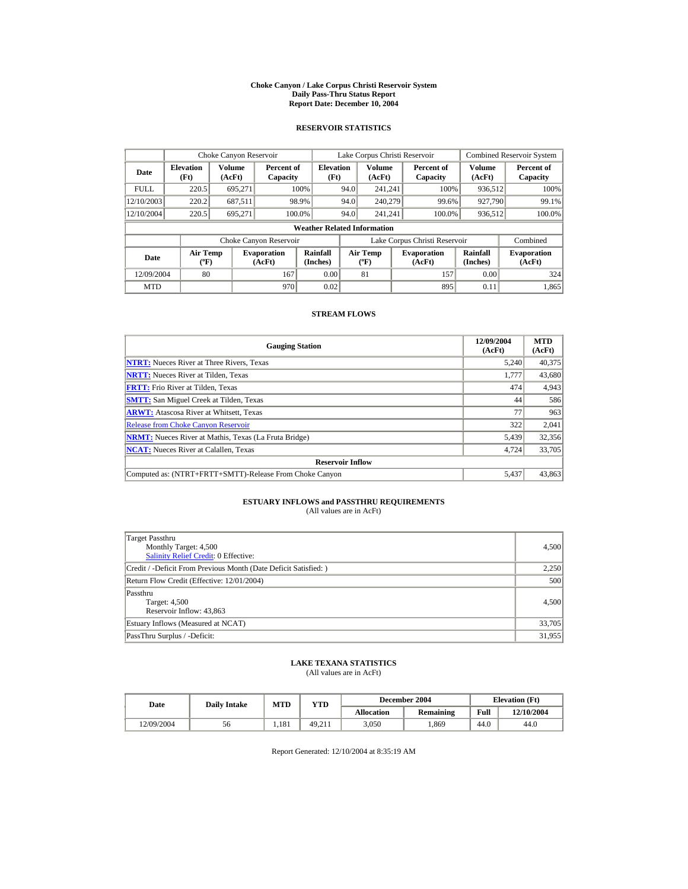#### **Choke Canyon / Lake Corpus Christi Reservoir System Daily Pass-Thru Status Report Report Date: December 10, 2004**

## **RESERVOIR STATISTICS**

|             | Choke Canyon Reservoir                      |                  |                              |                          | Lake Corpus Christi Reservoir             |                  |  |                               |                      | <b>Combined Reservoir System</b> |  |  |
|-------------|---------------------------------------------|------------------|------------------------------|--------------------------|-------------------------------------------|------------------|--|-------------------------------|----------------------|----------------------------------|--|--|
| Date        | <b>Elevation</b><br>(Ft)                    | Volume<br>(AcFt) | Percent of<br>Capacity       | <b>Elevation</b><br>(Ft) |                                           | Volume<br>(AcFt) |  | Percent of<br>Capacity        | Volume<br>(AcFt)     | Percent of<br>Capacity           |  |  |
| <b>FULL</b> | 220.5                                       | 695.271          |                              | 100%                     | 94.0                                      | 241.241          |  | 100%                          | 936,512              | 100%                             |  |  |
| 12/10/2003  | 220.2                                       | 687,511          | 98.9%                        |                          | 94.0                                      | 240,279          |  | 99.6%                         | 927,790              | 99.1%                            |  |  |
| 12/10/2004  | 220.5                                       | 695.271          | 100.0%                       |                          | 94.0                                      | 241.241          |  | 100.0%                        | 936,512              | 100.0%                           |  |  |
|             | <b>Weather Related Information</b>          |                  |                              |                          |                                           |                  |  |                               |                      |                                  |  |  |
|             |                                             |                  | Choke Canyon Reservoir       |                          |                                           |                  |  | Lake Corpus Christi Reservoir |                      | Combined                         |  |  |
| Date        | <b>Air Temp</b><br>$({}^{\circ}\mathrm{F})$ |                  | <b>Evaporation</b><br>(AcFt) | Rainfall<br>(Inches)     | <b>Air Temp</b><br>$({}^{\circ}\text{F})$ |                  |  | <b>Evaporation</b><br>(AcFt)  | Rainfall<br>(Inches) | <b>Evaporation</b><br>(AcFt)     |  |  |
| 12/09/2004  | 80                                          |                  | 167                          | 0.00                     |                                           | 81               |  | 157                           | 0.00                 | 324                              |  |  |
| <b>MTD</b>  |                                             |                  | 970                          | 0.02                     |                                           |                  |  | 895                           | 0.11                 | 1,865                            |  |  |

### **STREAM FLOWS**

| <b>Gauging Station</b>                                       | 12/09/2004<br>(AcFt) | <b>MTD</b><br>(AcFt) |
|--------------------------------------------------------------|----------------------|----------------------|
| <b>NTRT:</b> Nueces River at Three Rivers, Texas             | 5,240                | 40,375               |
| <b>NRTT:</b> Nueces River at Tilden, Texas                   | 1.777                | 43,680               |
| <b>FRTT:</b> Frio River at Tilden, Texas                     | 474                  | 4,943                |
| <b>SMTT:</b> San Miguel Creek at Tilden, Texas               | 44                   | 586                  |
| <b>ARWT:</b> Atascosa River at Whitsett, Texas               | 77                   | 963                  |
| <b>Release from Choke Canyon Reservoir</b>                   | 322                  | 2,041                |
| <b>NRMT:</b> Nueces River at Mathis, Texas (La Fruta Bridge) | 5,439                | 32,356               |
| <b>NCAT:</b> Nueces River at Calallen, Texas                 | 4,724                | 33,705               |
| <b>Reservoir Inflow</b>                                      |                      |                      |
| Computed as: (NTRT+FRTT+SMTT)-Release From Choke Canyon      | 5.437                | 43,863               |

# **ESTUARY INFLOWS and PASSTHRU REQUIREMENTS**<br>(All values are in AcFt)

| Target Passthru<br>Monthly Target: 4,500<br>Salinity Relief Credit: 0 Effective: | 4,500  |
|----------------------------------------------------------------------------------|--------|
| Credit / -Deficit From Previous Month (Date Deficit Satisfied:)                  | 2,250  |
| Return Flow Credit (Effective: 12/01/2004)                                       | 500    |
| Passthru<br>Target: 4,500<br>Reservoir Inflow: 43,863                            | 4,500  |
| Estuary Inflows (Measured at NCAT)                                               | 33,705 |
| PassThru Surplus / -Deficit:                                                     | 31,955 |

## **LAKE TEXANA STATISTICS**

(All values are in AcFt)

| Date       | <b>Daily Intake</b> | <b>MTD</b> | $_{\rm VTD}$ |            | December 2004 | <b>Elevation</b> (Ft) |            |
|------------|---------------------|------------|--------------|------------|---------------|-----------------------|------------|
|            |                     |            |              | Allocation | Remaining     | Full                  | 12/10/2004 |
| 12/09/2004 | 56                  | 1.181      | 49.211       | 3.050      | .869          | 44.0                  | 44.0       |

Report Generated: 12/10/2004 at 8:35:19 AM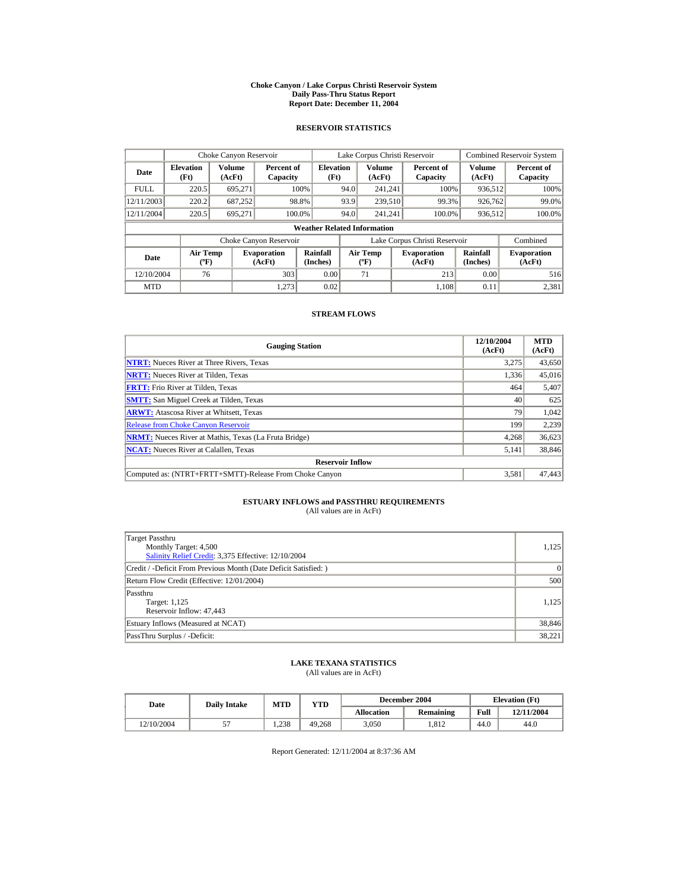#### **Choke Canyon / Lake Corpus Christi Reservoir System Daily Pass-Thru Status Report Report Date: December 11, 2004**

## **RESERVOIR STATISTICS**

|             | Choke Canyon Reservoir                      |                  |                              |                          | Lake Corpus Christi Reservoir |                                  |  |                               |                      | <b>Combined Reservoir System</b> |  |  |
|-------------|---------------------------------------------|------------------|------------------------------|--------------------------|-------------------------------|----------------------------------|--|-------------------------------|----------------------|----------------------------------|--|--|
| Date        | <b>Elevation</b><br>(Ft)                    | Volume<br>(AcFt) | Percent of<br>Capacity       | <b>Elevation</b><br>(Ft) |                               | Volume<br>(AcFt)                 |  | Percent of<br>Capacity        | Volume<br>(AcFt)     | Percent of<br>Capacity           |  |  |
| <b>FULL</b> | 220.5                                       | 695.271          |                              | 100%                     | 94.0                          | 241.241                          |  | 100%                          | 936,512              | 100%                             |  |  |
| 12/11/2003  | 220.2                                       | 687,252          |                              | 98.8%                    | 93.9                          | 239,510                          |  | 99.3%                         | 926,762              | 99.0%                            |  |  |
| 12/11/2004  | 220.5                                       | 695.271          | 100.0%                       |                          | 94.0                          | 241.241                          |  | 100.0%                        | 936,512              | 100.0%                           |  |  |
|             | <b>Weather Related Information</b>          |                  |                              |                          |                               |                                  |  |                               |                      |                                  |  |  |
|             |                                             |                  | Choke Canyon Reservoir       |                          |                               |                                  |  | Lake Corpus Christi Reservoir |                      | Combined                         |  |  |
| Date        | <b>Air Temp</b><br>$({}^{\circ}\mathrm{F})$ |                  | <b>Evaporation</b><br>(AcFt) | Rainfall<br>(Inches)     |                               | <b>Air Temp</b><br>$(^{\circ}F)$ |  | <b>Evaporation</b><br>(AcFt)  | Rainfall<br>(Inches) | <b>Evaporation</b><br>(AcFt)     |  |  |
| 12/10/2004  | 76                                          |                  | 303                          | 0.00                     |                               | 71                               |  | 213                           | 0.00                 | 516                              |  |  |
| <b>MTD</b>  |                                             |                  | 1.273                        | 0.02                     |                               |                                  |  | 1.108                         | 0.11                 | 2,381                            |  |  |

### **STREAM FLOWS**

| <b>Gauging Station</b>                                       | 12/10/2004<br>(AcFt) | <b>MTD</b><br>(AcFt) |
|--------------------------------------------------------------|----------------------|----------------------|
| <b>NTRT:</b> Nueces River at Three Rivers, Texas             | 3,275                | 43,650               |
| <b>NRTT:</b> Nueces River at Tilden, Texas                   | 1,336                | 45,016               |
| <b>FRTT:</b> Frio River at Tilden, Texas                     | 464                  | 5,407                |
| <b>SMTT:</b> San Miguel Creek at Tilden, Texas               | 40                   | 625                  |
| <b>ARWT:</b> Atascosa River at Whitsett, Texas               | 79                   | 1,042                |
| <b>Release from Choke Canyon Reservoir</b>                   | 199                  | 2,239                |
| <b>NRMT:</b> Nueces River at Mathis, Texas (La Fruta Bridge) | 4.268                | 36,623               |
| <b>NCAT:</b> Nueces River at Calallen, Texas                 | 5,141                | 38,846               |
| <b>Reservoir Inflow</b>                                      |                      |                      |
| Computed as: (NTRT+FRTT+SMTT)-Release From Choke Canyon      | 3,581                | 47,443               |

# **ESTUARY INFLOWS and PASSTHRU REQUIREMENTS**<br>(All values are in AcFt)

| Target Passthru<br>Monthly Target: 4,500<br>Salinity Relief Credit: 3,375 Effective: 12/10/2004 | 1,125  |
|-------------------------------------------------------------------------------------------------|--------|
| Credit / -Deficit From Previous Month (Date Deficit Satisfied:)                                 | 0      |
| Return Flow Credit (Effective: 12/01/2004)                                                      | 500    |
| Passthru<br>Target: 1,125<br>Reservoir Inflow: 47,443                                           | 1.125  |
| Estuary Inflows (Measured at NCAT)                                                              | 38,846 |
| PassThru Surplus / -Deficit:                                                                    | 38,221 |

## **LAKE TEXANA STATISTICS**

(All values are in AcFt)

| Date       | <b>Daily Intake</b> | <b>MTD</b> | YTD    |                   | December 2004 | <b>Elevation</b> (Ft) |            |
|------------|---------------------|------------|--------|-------------------|---------------|-----------------------|------------|
|            |                     |            |        | <b>Allocation</b> | Remaining     | Full                  | 12/11/2004 |
| 12/10/2004 | J.                  | 1.238      | 49.268 | 3.050             | .812          | 44.0                  | 44.0       |

Report Generated: 12/11/2004 at 8:37:36 AM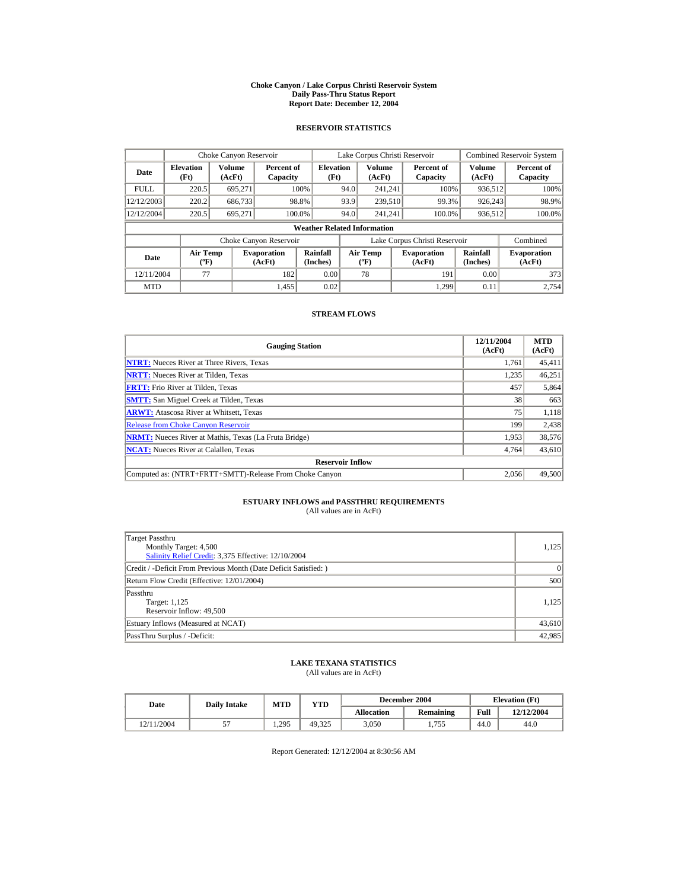#### **Choke Canyon / Lake Corpus Christi Reservoir System Daily Pass-Thru Status Report Report Date: December 12, 2004**

## **RESERVOIR STATISTICS**

|             | Choke Canyon Reservoir                      |                  |                              |                          | Lake Corpus Christi Reservoir |                                           |  |                               |                         | <b>Combined Reservoir System</b> |  |  |
|-------------|---------------------------------------------|------------------|------------------------------|--------------------------|-------------------------------|-------------------------------------------|--|-------------------------------|-------------------------|----------------------------------|--|--|
| Date        | <b>Elevation</b><br>(Ft)                    | Volume<br>(AcFt) | Percent of<br>Capacity       | <b>Elevation</b><br>(Ft) |                               | Volume<br>(AcFt)                          |  | Percent of<br>Capacity        | <b>Volume</b><br>(AcFt) | Percent of<br>Capacity           |  |  |
| <b>FULL</b> | 220.5                                       | 695,271          |                              | 100%                     | 94.0                          | 241.241                                   |  | 100%                          | 936,512                 | 100%                             |  |  |
| 12/12/2003  | 220.2                                       | 686,733          |                              | 98.8%                    | 93.9                          | 239,510                                   |  | 99.3%                         | 926,243                 | 98.9%                            |  |  |
| 12/12/2004  | 220.5                                       | 695.271          | 100.0%                       |                          | 94.0                          | 241.241                                   |  | 100.0%                        | 936,512                 | 100.0%                           |  |  |
|             | <b>Weather Related Information</b>          |                  |                              |                          |                               |                                           |  |                               |                         |                                  |  |  |
|             |                                             |                  | Choke Canyon Reservoir       |                          |                               |                                           |  | Lake Corpus Christi Reservoir |                         | Combined                         |  |  |
| Date        | <b>Air Temp</b><br>$({}^{\circ}\mathrm{F})$ |                  | <b>Evaporation</b><br>(AcFt) | Rainfall<br>(Inches)     |                               | <b>Air Temp</b><br>$({}^{\circ}\text{F})$ |  | <b>Evaporation</b><br>(AcFt)  | Rainfall<br>(Inches)    | <b>Evaporation</b><br>(AcFt)     |  |  |
| 12/11/2004  | 77                                          |                  | 182                          | 0.00                     |                               | 78                                        |  | 191                           | 0.00                    | 373                              |  |  |
| <b>MTD</b>  |                                             |                  | 1.455                        | 0.02                     |                               |                                           |  | 1.299                         | 0.11                    | 2.754                            |  |  |

### **STREAM FLOWS**

| <b>Gauging Station</b>                                       | 12/11/2004<br>(AcFt) | <b>MTD</b><br>(AcFt) |
|--------------------------------------------------------------|----------------------|----------------------|
| <b>NTRT:</b> Nueces River at Three Rivers, Texas             | 1,761                | 45,411               |
| <b>NRTT:</b> Nueces River at Tilden, Texas                   | 1,235                | 46,251               |
| <b>FRTT:</b> Frio River at Tilden, Texas                     | 457                  | 5,864                |
| <b>SMTT:</b> San Miguel Creek at Tilden, Texas               | 38                   | 663                  |
| <b>ARWT:</b> Atascosa River at Whitsett, Texas               | 75                   | 1,118                |
| <b>Release from Choke Canyon Reservoir</b>                   | 199                  | 2,438                |
| <b>NRMT:</b> Nueces River at Mathis, Texas (La Fruta Bridge) | 1,953                | 38,576               |
| <b>NCAT:</b> Nueces River at Calallen, Texas                 | 4,764                | 43,610               |
| <b>Reservoir Inflow</b>                                      |                      |                      |
| Computed as: (NTRT+FRTT+SMTT)-Release From Choke Canyon      | 2.056                | 49,500               |

# **ESTUARY INFLOWS and PASSTHRU REQUIREMENTS**<br>(All values are in AcFt)

| Target Passthru<br>Monthly Target: 4,500<br>Salinity Relief Credit: 3,375 Effective: 12/10/2004 | 1,125  |
|-------------------------------------------------------------------------------------------------|--------|
| Credit / -Deficit From Previous Month (Date Deficit Satisfied:)                                 | 0      |
| Return Flow Credit (Effective: 12/01/2004)                                                      | 500    |
| Passthru<br>Target: 1,125<br>Reservoir Inflow: 49,500                                           | 1.125  |
| Estuary Inflows (Measured at NCAT)                                                              | 43,610 |
| PassThru Surplus / -Deficit:                                                                    | 42,985 |

## **LAKE TEXANA STATISTICS**

(All values are in AcFt)

| Date       | <b>Daily Intake</b> | <b>MTD</b> | YTD    |                   | December 2004 | <b>Elevation</b> (Ft) |            |
|------------|---------------------|------------|--------|-------------------|---------------|-----------------------|------------|
|            |                     |            |        | <b>Allocation</b> | Remaining     | Full                  | 12/12/2004 |
| 12/11/2004 | J.                  | 1.295      | 49.325 | 3.050             | 1.755         | 44.0                  | 44.0       |

Report Generated: 12/12/2004 at 8:30:56 AM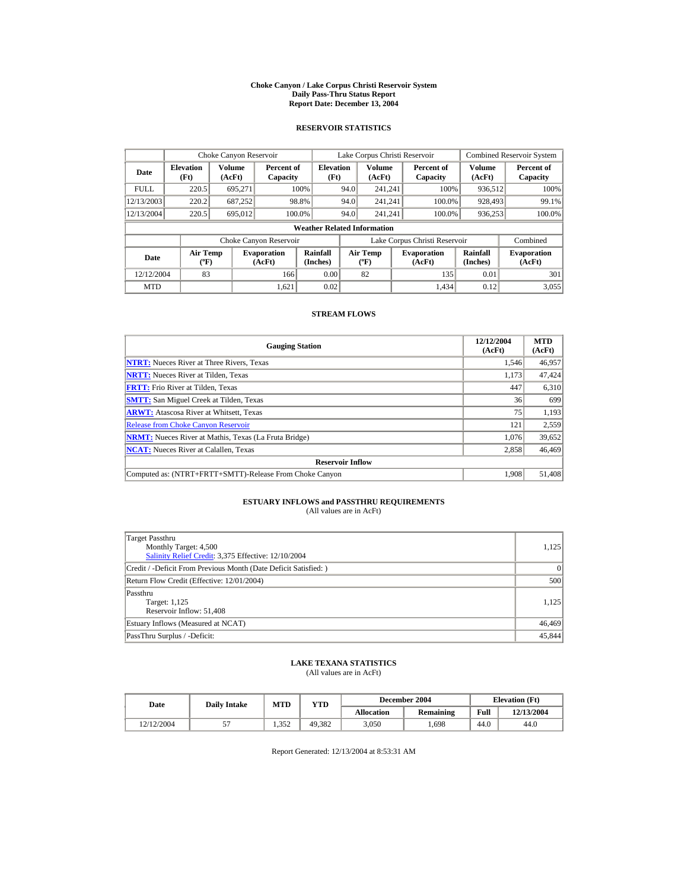#### **Choke Canyon / Lake Corpus Christi Reservoir System Daily Pass-Thru Status Report Report Date: December 13, 2004**

## **RESERVOIR STATISTICS**

|             | Choke Canyon Reservoir                      |                  |                              |                          | Lake Corpus Christi Reservoir |                                           |  |                               |                      | <b>Combined Reservoir System</b> |  |  |
|-------------|---------------------------------------------|------------------|------------------------------|--------------------------|-------------------------------|-------------------------------------------|--|-------------------------------|----------------------|----------------------------------|--|--|
| Date        | <b>Elevation</b><br>(Ft)                    | Volume<br>(AcFt) | Percent of<br>Capacity       | <b>Elevation</b><br>(Ft) |                               | Volume<br>(AcFt)                          |  | Percent of<br>Capacity        | Volume<br>(AcFt)     | Percent of<br>Capacity           |  |  |
| <b>FULL</b> | 220.5                                       | 695.271          |                              | 100%                     | 94.0                          | 241.241                                   |  | 100%                          | 936,512              | 100%                             |  |  |
| 12/13/2003  | 220.2                                       | 687,252          |                              | 98.8%                    | 94.0                          | 241.241                                   |  | 100.0%                        | 928,493              | 99.1%                            |  |  |
| 12/13/2004  | 220.5                                       | 695,012          | 100.0%                       |                          | 94.0                          | 241.241                                   |  | 100.0%                        | 936,253              | 100.0%                           |  |  |
|             | <b>Weather Related Information</b>          |                  |                              |                          |                               |                                           |  |                               |                      |                                  |  |  |
|             |                                             |                  | Choke Canyon Reservoir       |                          |                               |                                           |  | Lake Corpus Christi Reservoir |                      | Combined                         |  |  |
| Date        | <b>Air Temp</b><br>$({}^{\circ}\mathrm{F})$ |                  | <b>Evaporation</b><br>(AcFt) | Rainfall<br>(Inches)     |                               | <b>Air Temp</b><br>$({}^{\circ}\text{F})$ |  | <b>Evaporation</b><br>(AcFt)  | Rainfall<br>(Inches) | <b>Evaporation</b><br>(AcFt)     |  |  |
| 12/12/2004  | 83                                          |                  | 166                          | 0.00                     |                               | 82                                        |  | 135                           | 0.01                 | 301                              |  |  |
| <b>MTD</b>  |                                             |                  | 1.621                        | 0.02                     |                               |                                           |  | 1.434                         | 0.12                 | 3,055                            |  |  |

### **STREAM FLOWS**

| <b>Gauging Station</b>                                       | 12/12/2004<br>(AcFt) | <b>MTD</b><br>(AcFt) |
|--------------------------------------------------------------|----------------------|----------------------|
| <b>NTRT:</b> Nueces River at Three Rivers, Texas             | 1,546                | 46,957               |
| <b>NRTT:</b> Nueces River at Tilden, Texas                   | 1,173                | 47,424               |
| <b>FRTT:</b> Frio River at Tilden, Texas                     | 447                  | 6,310                |
| <b>SMTT:</b> San Miguel Creek at Tilden, Texas               | 36                   | 699                  |
| <b>ARWT:</b> Atascosa River at Whitsett, Texas               | 75                   | 1,193                |
| <b>Release from Choke Canyon Reservoir</b>                   | 121                  | 2,559                |
| <b>NRMT:</b> Nueces River at Mathis, Texas (La Fruta Bridge) | 1.076                | 39,652               |
| <b>NCAT:</b> Nueces River at Calallen, Texas                 | 2,858                | 46,469               |
| <b>Reservoir Inflow</b>                                      |                      |                      |
| Computed as: (NTRT+FRTT+SMTT)-Release From Choke Canyon      | 1.908                | 51,408               |

# **ESTUARY INFLOWS and PASSTHRU REQUIREMENTS**<br>(All values are in AcFt)

| Target Passthru<br>Monthly Target: 4,500<br>Salinity Relief Credit: 3,375 Effective: 12/10/2004 | 1,125  |
|-------------------------------------------------------------------------------------------------|--------|
| Credit / -Deficit From Previous Month (Date Deficit Satisfied:)                                 | 0      |
| Return Flow Credit (Effective: 12/01/2004)                                                      | 500    |
| Passthru<br>Target: 1,125<br>Reservoir Inflow: 51,408                                           | 1.125  |
| Estuary Inflows (Measured at NCAT)                                                              | 46,469 |
| PassThru Surplus / -Deficit:                                                                    | 45,844 |

## **LAKE TEXANA STATISTICS**

(All values are in AcFt)

| Date       | <b>Daily Intake</b> | MTD   | $\mathbf{v_{TD}}$ |                   | December 2004    | <b>Elevation</b> (Ft) |            |
|------------|---------------------|-------|-------------------|-------------------|------------------|-----------------------|------------|
|            |                     |       |                   | <b>Allocation</b> | <b>Remaining</b> | Full                  | 12/13/2004 |
| 12/12/2004 |                     | 1.352 | 49.382            | 3.050             | .698             | 44.0                  | 44.0       |

Report Generated: 12/13/2004 at 8:53:31 AM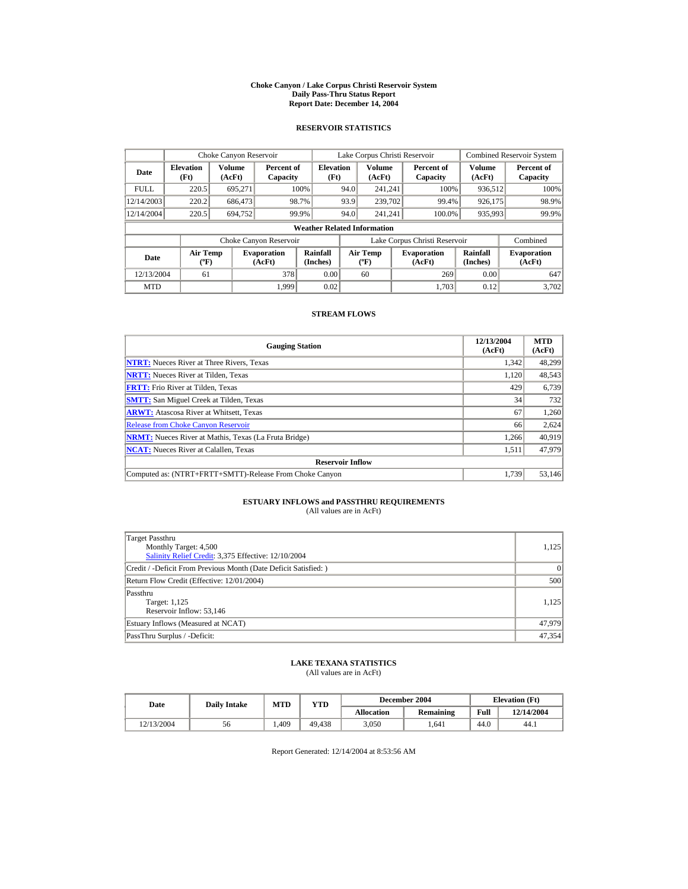#### **Choke Canyon / Lake Corpus Christi Reservoir System Daily Pass-Thru Status Report Report Date: December 14, 2004**

## **RESERVOIR STATISTICS**

|             | Choke Canyon Reservoir                      |                  |                              |                          | Lake Corpus Christi Reservoir |                                             |  |                               | <b>Combined Reservoir System</b> |                              |  |  |
|-------------|---------------------------------------------|------------------|------------------------------|--------------------------|-------------------------------|---------------------------------------------|--|-------------------------------|----------------------------------|------------------------------|--|--|
| Date        | <b>Elevation</b><br>(Ft)                    | Volume<br>(AcFt) | Percent of<br>Capacity       | <b>Elevation</b><br>(Ft) |                               | Volume<br>(AcFt)                            |  | Percent of<br>Capacity        | Volume<br>(AcFt)                 | Percent of<br>Capacity       |  |  |
| <b>FULL</b> | 220.5                                       | 695,271          |                              | 100%                     | 94.0                          | 241.241                                     |  | 100%                          | 936,512                          | 100%                         |  |  |
| 12/14/2003  | 220.2                                       | 686,473          |                              | 98.7%                    | 93.9                          | 239,702                                     |  | 99.4%                         | 926,175                          | 98.9%                        |  |  |
| 12/14/2004  | 220.5                                       | 694.752          |                              | 99.9%                    | 94.0                          | 241.241                                     |  | 100.0%                        | 935,993                          | 99.9%                        |  |  |
|             | <b>Weather Related Information</b>          |                  |                              |                          |                               |                                             |  |                               |                                  |                              |  |  |
|             |                                             |                  | Choke Canyon Reservoir       |                          |                               |                                             |  | Lake Corpus Christi Reservoir |                                  | Combined                     |  |  |
| Date        | <b>Air Temp</b><br>$({}^{\circ}\mathrm{F})$ |                  | <b>Evaporation</b><br>(AcFt) | Rainfall<br>(Inches)     |                               | <b>Air Temp</b><br>$({}^{\circ}\mathbf{F})$ |  | <b>Evaporation</b><br>(AcFt)  | Rainfall<br>(Inches)             | <b>Evaporation</b><br>(AcFt) |  |  |
| 12/13/2004  | 61                                          |                  | 378                          | 0.00                     |                               | 60                                          |  | 269                           | 0.00                             | 647                          |  |  |
| <b>MTD</b>  |                                             |                  | 1.999                        | 0.02                     |                               |                                             |  | 1.703                         | 0.12                             | 3.702                        |  |  |

### **STREAM FLOWS**

| <b>Gauging Station</b>                                       | 12/13/2004<br>(AcFt) | <b>MTD</b><br>(AcFt) |
|--------------------------------------------------------------|----------------------|----------------------|
| <b>NTRT:</b> Nueces River at Three Rivers, Texas             | 1,342                | 48,299               |
| <b>NRTT:</b> Nueces River at Tilden, Texas                   | 1,120                | 48,543               |
| <b>FRTT:</b> Frio River at Tilden, Texas                     | 429                  | 6,739                |
| <b>SMTT:</b> San Miguel Creek at Tilden, Texas               | 34                   | 732                  |
| <b>ARWT:</b> Atascosa River at Whitsett, Texas               | 67                   | 1,260                |
| <b>Release from Choke Canyon Reservoir</b>                   | 66                   | 2,624                |
| <b>NRMT:</b> Nueces River at Mathis, Texas (La Fruta Bridge) | 1.266                | 40.919               |
| <b>NCAT:</b> Nueces River at Calallen, Texas                 | 1,511                | 47.979               |
| <b>Reservoir Inflow</b>                                      |                      |                      |
| Computed as: (NTRT+FRTT+SMTT)-Release From Choke Canyon      | 1.739                | 53,146               |

# **ESTUARY INFLOWS and PASSTHRU REQUIREMENTS**<br>(All values are in AcFt)

| Target Passthru<br>Monthly Target: 4,500<br>Salinity Relief Credit: 3,375 Effective: 12/10/2004 | 1,125  |
|-------------------------------------------------------------------------------------------------|--------|
| Credit / -Deficit From Previous Month (Date Deficit Satisfied:)                                 | 0      |
| Return Flow Credit (Effective: 12/01/2004)                                                      | 500    |
| Passthru<br>Target: 1,125<br>Reservoir Inflow: 53,146                                           | 1.125  |
| Estuary Inflows (Measured at NCAT)                                                              | 47,979 |
| PassThru Surplus / -Deficit:                                                                    | 47,354 |

## **LAKE TEXANA STATISTICS**

(All values are in AcFt)

| Date       | <b>Daily Intake</b> | MTD  | $_{\rm VTD}$ |                   | December 2004 | <b>Elevation</b> (Ft) |            |
|------------|---------------------|------|--------------|-------------------|---------------|-----------------------|------------|
|            |                     |      |              | <b>Allocation</b> | Remaining     | Full                  | 12/14/2004 |
| 12/13/2004 | 56                  | .409 | 49.438       | 3.050             | .641          | 44.0                  | 44.1       |

Report Generated: 12/14/2004 at 8:53:56 AM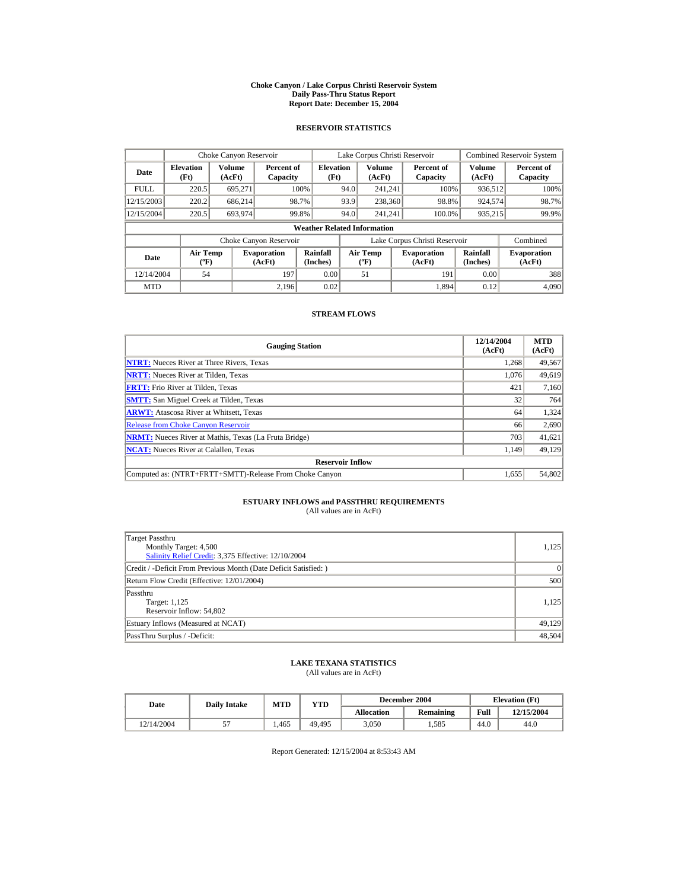#### **Choke Canyon / Lake Corpus Christi Reservoir System Daily Pass-Thru Status Report Report Date: December 15, 2004**

## **RESERVOIR STATISTICS**

|             | Choke Canyon Reservoir                      |                  |                              |                          | Lake Corpus Christi Reservoir |                                             |  |                               |                      | <b>Combined Reservoir System</b> |  |  |
|-------------|---------------------------------------------|------------------|------------------------------|--------------------------|-------------------------------|---------------------------------------------|--|-------------------------------|----------------------|----------------------------------|--|--|
| Date        | <b>Elevation</b><br>(Ft)                    | Volume<br>(AcFt) | Percent of<br>Capacity       | <b>Elevation</b><br>(Ft) |                               | Volume<br>(AcFt)                            |  | Percent of<br>Capacity        | Volume<br>(AcFt)     | Percent of<br>Capacity           |  |  |
| <b>FULL</b> | 220.5                                       | 695.271          |                              | 100%                     | 94.0                          | 241.241                                     |  | 100%                          | 936,512              | 100%                             |  |  |
| 12/15/2003  | 220.2                                       | 686.214          |                              | 98.7%                    | 93.9                          | 238,360                                     |  | 98.8%                         | 924,574              | 98.7%                            |  |  |
| 12/15/2004  | 220.5                                       | 693.974          |                              | 99.8%                    | 94.0                          | 241.241                                     |  | 100.0%                        | 935,215              | 99.9%                            |  |  |
|             | <b>Weather Related Information</b>          |                  |                              |                          |                               |                                             |  |                               |                      |                                  |  |  |
|             |                                             |                  | Choke Canyon Reservoir       |                          |                               |                                             |  | Lake Corpus Christi Reservoir |                      | Combined                         |  |  |
| Date        | <b>Air Temp</b><br>$({}^{\circ}\mathrm{F})$ |                  | <b>Evaporation</b><br>(AcFt) | Rainfall<br>(Inches)     |                               | <b>Air Temp</b><br>$({}^{\circ}\mathbf{F})$ |  | <b>Evaporation</b><br>(AcFt)  | Rainfall<br>(Inches) | <b>Evaporation</b><br>(AcFt)     |  |  |
| 12/14/2004  | 54                                          |                  | 197                          | 0.00                     |                               | 51                                          |  | 191                           | 0.00                 | 388                              |  |  |
| <b>MTD</b>  |                                             |                  | 2.196                        | 0.02                     |                               |                                             |  | 1.894                         | 0.12                 | 4.090                            |  |  |

### **STREAM FLOWS**

| <b>Gauging Station</b>                                       | 12/14/2004<br>(AcFt) | <b>MTD</b><br>(AcFt) |
|--------------------------------------------------------------|----------------------|----------------------|
| <b>NTRT:</b> Nueces River at Three Rivers, Texas             | 1.268                | 49,567               |
| <b>NRTT:</b> Nueces River at Tilden, Texas                   | 1,076                | 49,619               |
| <b>FRTT:</b> Frio River at Tilden, Texas                     | 421                  | 7,160                |
| <b>SMTT:</b> San Miguel Creek at Tilden, Texas               | 32                   | 764                  |
| <b>ARWT:</b> Atascosa River at Whitsett, Texas               | 64                   | 1,324                |
| <b>Release from Choke Canyon Reservoir</b>                   | 66                   | 2,690                |
| <b>NRMT:</b> Nueces River at Mathis, Texas (La Fruta Bridge) | 703                  | 41,621               |
| <b>NCAT:</b> Nueces River at Calallen, Texas                 | 1,149                | 49,129               |
| <b>Reservoir Inflow</b>                                      |                      |                      |
| Computed as: (NTRT+FRTT+SMTT)-Release From Choke Canyon      | 1,655                | 54,802               |

# **ESTUARY INFLOWS and PASSTHRU REQUIREMENTS**<br>(All values are in AcFt)

| Target Passthru<br>Monthly Target: 4,500<br>Salinity Relief Credit: 3,375 Effective: 12/10/2004 | 1,125  |
|-------------------------------------------------------------------------------------------------|--------|
| Credit / -Deficit From Previous Month (Date Deficit Satisfied:)                                 | 0      |
| Return Flow Credit (Effective: 12/01/2004)                                                      | 500    |
| Passthru<br>Target: 1,125<br>Reservoir Inflow: 54,802                                           | 1.125  |
| Estuary Inflows (Measured at NCAT)                                                              | 49,129 |
| PassThru Surplus / -Deficit:                                                                    | 48,504 |

## **LAKE TEXANA STATISTICS**

(All values are in AcFt)

| Date       | <b>Daily Intake</b> | <b>MTD</b> | YTD    |                   | December 2004 | <b>Elevation</b> (Ft) |            |
|------------|---------------------|------------|--------|-------------------|---------------|-----------------------|------------|
|            |                     |            |        | <b>Allocation</b> | Remaining     | Full                  | 12/15/2004 |
| 12/14/2004 | J.                  | 1.465      | 49.495 | 3.050             | .585          | 44.0                  | 44.0       |

Report Generated: 12/15/2004 at 8:53:43 AM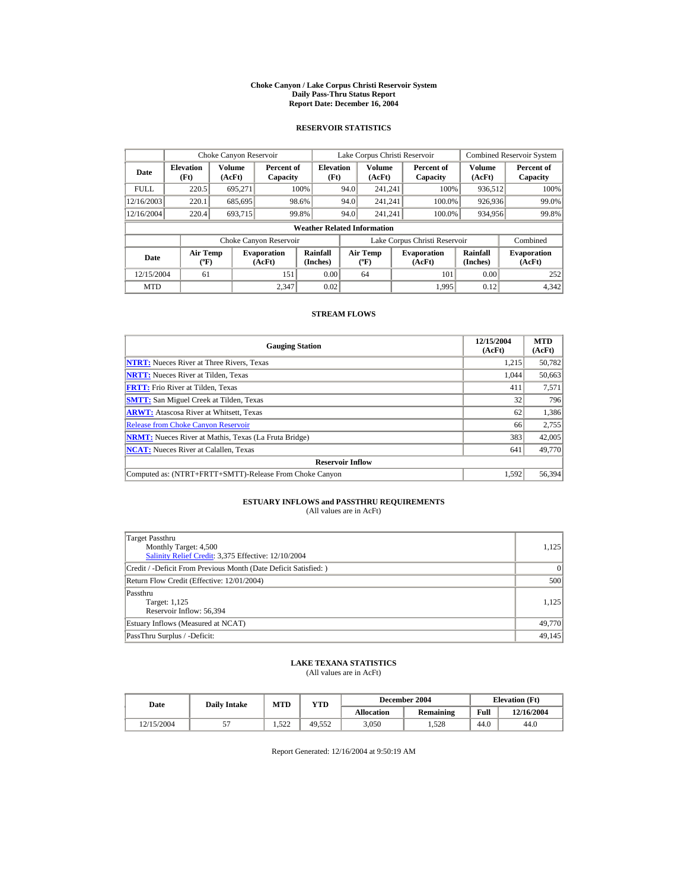#### **Choke Canyon / Lake Corpus Christi Reservoir System Daily Pass-Thru Status Report Report Date: December 16, 2004**

## **RESERVOIR STATISTICS**

|             | Choke Canyon Reservoir                      |                  |                              |                          | Lake Corpus Christi Reservoir               |                  |  |                               |                      | <b>Combined Reservoir System</b> |  |  |
|-------------|---------------------------------------------|------------------|------------------------------|--------------------------|---------------------------------------------|------------------|--|-------------------------------|----------------------|----------------------------------|--|--|
| Date        | <b>Elevation</b><br>(Ft)                    | Volume<br>(AcFt) | Percent of<br>Capacity       | <b>Elevation</b><br>(Ft) |                                             | Volume<br>(AcFt) |  | Percent of<br>Capacity        | Volume<br>(AcFt)     | Percent of<br>Capacity           |  |  |
| <b>FULL</b> | 220.5                                       | 695.271          |                              | 100%                     | 94.0                                        | 241.241          |  | 100%                          | 936,512              | 100%                             |  |  |
| 12/16/2003  | 220.1                                       | 685,695          |                              | 98.6%                    | 94.0                                        | 241.241          |  | 100.0%                        | 926,936              | 99.0%                            |  |  |
| 12/16/2004  | 220.4                                       | 693.715          |                              | 99.8%                    | 94.0                                        | 241.241          |  | 100.0%                        | 934,956              | 99.8%                            |  |  |
|             | <b>Weather Related Information</b>          |                  |                              |                          |                                             |                  |  |                               |                      |                                  |  |  |
|             |                                             |                  | Choke Canyon Reservoir       |                          |                                             |                  |  | Lake Corpus Christi Reservoir |                      | Combined                         |  |  |
| Date        | <b>Air Temp</b><br>$({}^{\circ}\mathrm{F})$ |                  | <b>Evaporation</b><br>(AcFt) | Rainfall<br>(Inches)     | <b>Air Temp</b><br>$({}^{\circ}\mathbf{F})$ |                  |  | <b>Evaporation</b><br>(AcFt)  | Rainfall<br>(Inches) | <b>Evaporation</b><br>(AcFt)     |  |  |
| 12/15/2004  | 61                                          |                  | 151                          | 0.00                     |                                             | 64               |  | 101                           | 0.00                 | 252                              |  |  |
| <b>MTD</b>  |                                             |                  | 2.347                        | 0.02                     |                                             |                  |  | 1.995                         | 0.12                 | 4,342                            |  |  |

### **STREAM FLOWS**

| <b>Gauging Station</b>                                       | 12/15/2004<br>(AcFt) | <b>MTD</b><br>(AcFt) |
|--------------------------------------------------------------|----------------------|----------------------|
| <b>NTRT:</b> Nueces River at Three Rivers, Texas             | 1.215                | 50,782               |
| <b>NRTT:</b> Nueces River at Tilden, Texas                   | 1.044                | 50,663               |
| <b>FRTT:</b> Frio River at Tilden, Texas                     | 411                  | 7,571                |
| <b>SMTT:</b> San Miguel Creek at Tilden, Texas               | 32                   | 796                  |
| <b>ARWT:</b> Atascosa River at Whitsett, Texas               | 62                   | 1,386                |
| <b>Release from Choke Canyon Reservoir</b>                   | 66                   | 2,755                |
| <b>NRMT:</b> Nueces River at Mathis, Texas (La Fruta Bridge) | 383                  | 42,005               |
| <b>NCAT:</b> Nueces River at Calallen, Texas                 | 641                  | 49,770               |
| <b>Reservoir Inflow</b>                                      |                      |                      |
| Computed as: (NTRT+FRTT+SMTT)-Release From Choke Canyon      | 1.592                | 56,394               |

# **ESTUARY INFLOWS and PASSTHRU REQUIREMENTS**<br>(All values are in AcFt)

| Target Passthru<br>Monthly Target: 4,500<br>Salinity Relief Credit: 3,375 Effective: 12/10/2004 | 1,125  |
|-------------------------------------------------------------------------------------------------|--------|
| Credit / -Deficit From Previous Month (Date Deficit Satisfied:)                                 | 0      |
| Return Flow Credit (Effective: 12/01/2004)                                                      | 500    |
| Passthru<br>Target: 1,125<br>Reservoir Inflow: 56,394                                           | 1.125  |
| Estuary Inflows (Measured at NCAT)                                                              | 49,770 |
| PassThru Surplus / -Deficit:                                                                    | 49,145 |

## **LAKE TEXANA STATISTICS**

(All values are in AcFt)

| Date       | <b>Daily Intake</b> | <b>MTD</b>   | YTD    |                   | December 2004 | <b>Elevation</b> (Ft) |            |
|------------|---------------------|--------------|--------|-------------------|---------------|-----------------------|------------|
|            |                     |              |        | <b>Allocation</b> | Remaining     | Full                  | 12/16/2004 |
| 12/15/2004 | J.                  | 522<br>1.JZZ | 49.552 | 3.050             | .528          | 44.0                  | 44.0       |

Report Generated: 12/16/2004 at 9:50:19 AM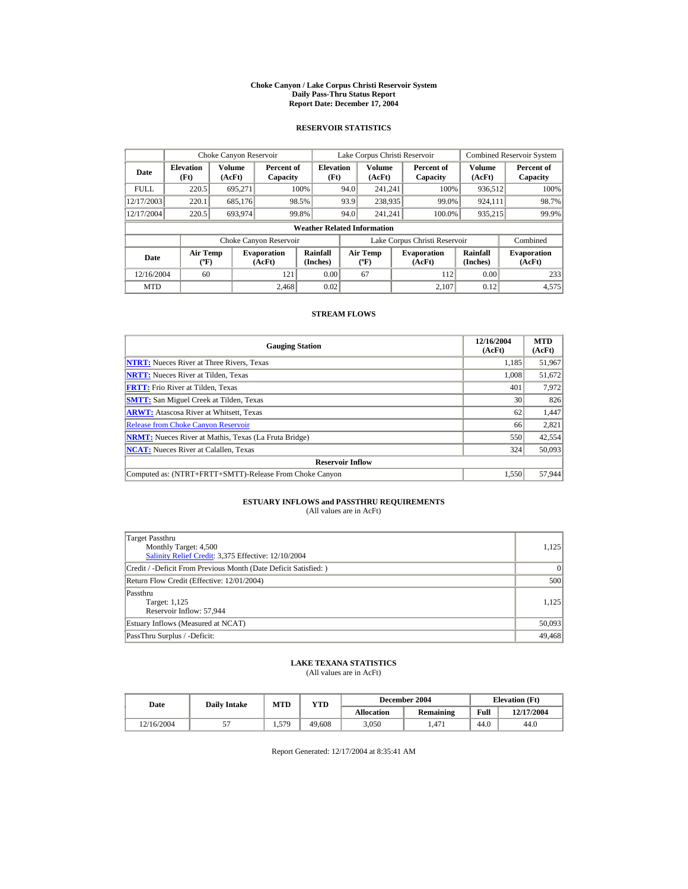#### **Choke Canyon / Lake Corpus Christi Reservoir System Daily Pass-Thru Status Report Report Date: December 17, 2004**

## **RESERVOIR STATISTICS**

|             | Choke Canyon Reservoir                      |                  |                              |                          | Lake Corpus Christi Reservoir |                                           |  |                               |                         | <b>Combined Reservoir System</b> |  |  |
|-------------|---------------------------------------------|------------------|------------------------------|--------------------------|-------------------------------|-------------------------------------------|--|-------------------------------|-------------------------|----------------------------------|--|--|
| Date        | <b>Elevation</b><br>(Ft)                    | Volume<br>(AcFt) | Percent of<br>Capacity       | <b>Elevation</b><br>(Ft) |                               | <b>Volume</b><br>(AcFt)                   |  | Percent of<br>Capacity        | <b>Volume</b><br>(AcFt) | Percent of<br>Capacity           |  |  |
| <b>FULL</b> | 220.5                                       | 695,271          |                              | 100%                     | 94.0                          | 241.241                                   |  | 100%                          | 936,512                 | 100%                             |  |  |
| 12/17/2003  | 220.1                                       | 685,176          |                              | 98.5%                    | 93.9                          | 238,935                                   |  | 99.0%                         | 924.111                 | 98.7%                            |  |  |
| 12/17/2004  | 220.5                                       | 693.974          |                              | 99.8%                    | 94.0                          | 241.241                                   |  | 100.0%                        | 935,215                 | 99.9%                            |  |  |
|             | <b>Weather Related Information</b>          |                  |                              |                          |                               |                                           |  |                               |                         |                                  |  |  |
|             |                                             |                  | Choke Canyon Reservoir       |                          |                               |                                           |  | Lake Corpus Christi Reservoir |                         | Combined                         |  |  |
| Date        | <b>Air Temp</b><br>$({}^{\circ}\mathrm{F})$ |                  | <b>Evaporation</b><br>(AcFt) | Rainfall<br>(Inches)     |                               | <b>Air Temp</b><br>$({}^{\circ}\text{F})$ |  | <b>Evaporation</b><br>(AcFt)  | Rainfall<br>(Inches)    | <b>Evaporation</b><br>(AcFt)     |  |  |
| 12/16/2004  | 60                                          |                  | 121                          | 0.00                     |                               | 67                                        |  | 112                           | 0.00                    | 233                              |  |  |
| <b>MTD</b>  |                                             |                  | 2.468                        | 0.02                     |                               |                                           |  | 2.107                         | 0.12                    | 4,575                            |  |  |

### **STREAM FLOWS**

| <b>Gauging Station</b>                                       | 12/16/2004<br>(AcFt) | <b>MTD</b><br>(AcFt) |
|--------------------------------------------------------------|----------------------|----------------------|
| <b>NTRT:</b> Nueces River at Three Rivers, Texas             | 1,185                | 51,967               |
| <b>NRTT:</b> Nueces River at Tilden, Texas                   | 1.008                | 51,672               |
| <b>FRTT:</b> Frio River at Tilden, Texas                     | 401                  | 7,972                |
| <b>SMTT:</b> San Miguel Creek at Tilden, Texas               | 30                   | 826                  |
| <b>ARWT:</b> Atascosa River at Whitsett, Texas               | 62                   | 1,447                |
| <b>Release from Choke Canvon Reservoir</b>                   | 66                   | 2,821                |
| <b>NRMT:</b> Nueces River at Mathis, Texas (La Fruta Bridge) | 550                  | 42,554               |
| <b>NCAT:</b> Nueces River at Calallen, Texas                 | 324                  | 50,093               |
| <b>Reservoir Inflow</b>                                      |                      |                      |
| Computed as: (NTRT+FRTT+SMTT)-Release From Choke Canyon      | 1,550                | 57,944               |

# **ESTUARY INFLOWS and PASSTHRU REQUIREMENTS**<br>(All values are in AcFt)

| Target Passthru<br>Monthly Target: 4,500<br>Salinity Relief Credit: 3,375 Effective: 12/10/2004 | 1,125  |
|-------------------------------------------------------------------------------------------------|--------|
| Credit / -Deficit From Previous Month (Date Deficit Satisfied:)                                 | 0      |
| Return Flow Credit (Effective: 12/01/2004)                                                      | 500    |
| Passthru<br>Target: 1,125<br>Reservoir Inflow: 57,944                                           | 1.125  |
| Estuary Inflows (Measured at NCAT)                                                              | 50,093 |
| PassThru Surplus / -Deficit:                                                                    | 49,468 |

## **LAKE TEXANA STATISTICS**

(All values are in AcFt)

| Date       | <b>Daily Intake</b> | <b>MTD</b> | YTD    | December 2004     |           | <b>Elevation</b> (Ft) |            |
|------------|---------------------|------------|--------|-------------------|-----------|-----------------------|------------|
|            |                     |            |        | <b>Allocation</b> | Remaining | Full                  | 12/17/2004 |
| 12/16/2004 | ັ                   | 1,579      | 49.608 | 3.050             | .471      | 44.0                  | 44.0       |

Report Generated: 12/17/2004 at 8:35:41 AM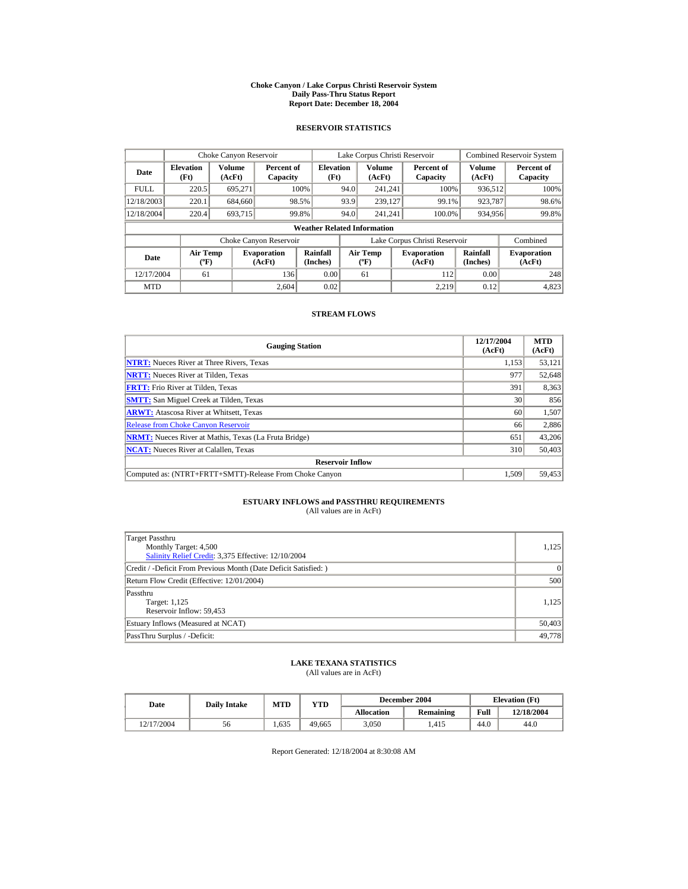#### **Choke Canyon / Lake Corpus Christi Reservoir System Daily Pass-Thru Status Report Report Date: December 18, 2004**

## **RESERVOIR STATISTICS**

|             | Choke Canyon Reservoir                      |                  |                              |                          | Lake Corpus Christi Reservoir               |                  |  |                               |                      | <b>Combined Reservoir System</b> |  |  |
|-------------|---------------------------------------------|------------------|------------------------------|--------------------------|---------------------------------------------|------------------|--|-------------------------------|----------------------|----------------------------------|--|--|
| Date        | <b>Elevation</b><br>(Ft)                    | Volume<br>(AcFt) | Percent of<br>Capacity       | <b>Elevation</b><br>(Ft) |                                             | Volume<br>(AcFt) |  | Percent of<br>Capacity        | Volume<br>(AcFt)     | Percent of<br>Capacity           |  |  |
| <b>FULL</b> | 220.5                                       | 695.271          |                              | 100%                     | 94.0                                        | 241.241          |  | 100%                          | 936,512              | 100%                             |  |  |
| 12/18/2003  | 220.1                                       | 684,660          |                              | 98.5%                    | 93.9                                        | 239,127          |  | 99.1%                         | 923,787              | 98.6%                            |  |  |
| 12/18/2004  | 220.4                                       | 693.715          |                              | 99.8%                    | 94.0                                        | 241.241          |  | 100.0%                        | 934,956              | 99.8%                            |  |  |
|             | <b>Weather Related Information</b>          |                  |                              |                          |                                             |                  |  |                               |                      |                                  |  |  |
|             |                                             |                  | Choke Canyon Reservoir       |                          |                                             |                  |  | Lake Corpus Christi Reservoir |                      | Combined                         |  |  |
| Date        | <b>Air Temp</b><br>$({}^{\circ}\mathrm{F})$ |                  | <b>Evaporation</b><br>(AcFt) | Rainfall<br>(Inches)     | <b>Air Temp</b><br>$({}^{\circ}\mathbf{F})$ |                  |  | <b>Evaporation</b><br>(AcFt)  | Rainfall<br>(Inches) | <b>Evaporation</b><br>(AcFt)     |  |  |
| 12/17/2004  | 61                                          |                  | 136                          | 0.00                     |                                             | 61               |  | 112                           | 0.00                 | 248                              |  |  |
| <b>MTD</b>  |                                             |                  | 2.604                        | 0.02                     |                                             |                  |  | 2.219                         | 0.12                 | 4,823                            |  |  |

### **STREAM FLOWS**

| <b>Gauging Station</b>                                       | 12/17/2004<br>(AcFt) | <b>MTD</b><br>(AcFt) |
|--------------------------------------------------------------|----------------------|----------------------|
| <b>NTRT:</b> Nueces River at Three Rivers, Texas             | 1,153                | 53,121               |
| <b>NRTT:</b> Nueces River at Tilden, Texas                   | 977                  | 52,648               |
| <b>FRTT:</b> Frio River at Tilden, Texas                     | 391                  | 8,363                |
| <b>SMTT:</b> San Miguel Creek at Tilden, Texas               | 30                   | 856                  |
| <b>ARWT:</b> Atascosa River at Whitsett, Texas               | 60                   | 1,507                |
| <b>Release from Choke Canyon Reservoir</b>                   | 66                   | 2,886                |
| <b>NRMT:</b> Nueces River at Mathis, Texas (La Fruta Bridge) | 651                  | 43,206               |
| <b>NCAT:</b> Nueces River at Calallen, Texas                 | 310                  | 50,403               |
| <b>Reservoir Inflow</b>                                      |                      |                      |
| Computed as: (NTRT+FRTT+SMTT)-Release From Choke Canyon      | 1.509                | 59,453               |

# **ESTUARY INFLOWS and PASSTHRU REQUIREMENTS**<br>(All values are in AcFt)

| Target Passthru<br>Monthly Target: 4,500<br>Salinity Relief Credit: 3,375 Effective: 12/10/2004 | 1,125  |
|-------------------------------------------------------------------------------------------------|--------|
| Credit / -Deficit From Previous Month (Date Deficit Satisfied:)                                 | 0      |
| Return Flow Credit (Effective: 12/01/2004)                                                      | 500    |
| Passthru<br>Target: 1,125<br>Reservoir Inflow: 59,453                                           | 1.125  |
| Estuary Inflows (Measured at NCAT)                                                              | 50,403 |
| PassThru Surplus / -Deficit:                                                                    | 49.778 |

## **LAKE TEXANA STATISTICS**

(All values are in AcFt)

| Date       | <b>Daily Intake</b> | <b>MTD</b> | YTD    |                   | December 2004 | <b>Elevation</b> (Ft) |            |
|------------|---------------------|------------|--------|-------------------|---------------|-----------------------|------------|
|            |                     |            |        | <b>Allocation</b> | Remaining     | Full                  | 12/18/2004 |
| 12/17/2004 | 56                  | 1.635      | 49.665 | 3.050             | .415          | 44.0                  | 44.0       |

Report Generated: 12/18/2004 at 8:30:08 AM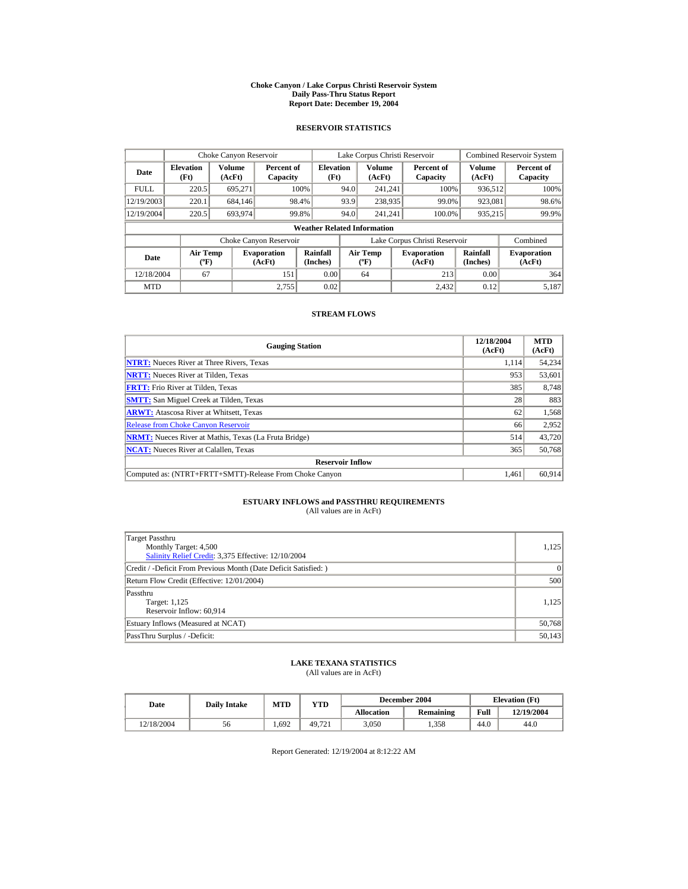#### **Choke Canyon / Lake Corpus Christi Reservoir System Daily Pass-Thru Status Report Report Date: December 19, 2004**

## **RESERVOIR STATISTICS**

|             | Choke Canyon Reservoir                      |                  |                              |                          | Lake Corpus Christi Reservoir |                                             |  |                               |                      | <b>Combined Reservoir System</b> |  |  |
|-------------|---------------------------------------------|------------------|------------------------------|--------------------------|-------------------------------|---------------------------------------------|--|-------------------------------|----------------------|----------------------------------|--|--|
| Date        | <b>Elevation</b><br>(Ft)                    | Volume<br>(AcFt) | Percent of<br>Capacity       | <b>Elevation</b><br>(Ft) |                               | Volume<br>(AcFt)                            |  | Percent of<br>Capacity        | Volume<br>(AcFt)     | Percent of<br>Capacity           |  |  |
| <b>FULL</b> | 220.5                                       | 695.271          |                              | 100%                     | 94.0                          | 241.241                                     |  | 100%                          | 936,512              | 100%                             |  |  |
| 12/19/2003  | 220.1                                       | 684,146          |                              | 98.4%                    | 93.9                          | 238,935                                     |  | 99.0%                         | 923,081              | 98.6%                            |  |  |
| 12/19/2004  | 220.5                                       | 693.974          |                              | 99.8%                    | 94.0                          | 241.241                                     |  | 100.0%                        | 935,215              | 99.9%                            |  |  |
|             | <b>Weather Related Information</b>          |                  |                              |                          |                               |                                             |  |                               |                      |                                  |  |  |
|             |                                             |                  | Choke Canyon Reservoir       |                          |                               |                                             |  | Lake Corpus Christi Reservoir |                      | Combined                         |  |  |
| Date        | <b>Air Temp</b><br>$({}^{\circ}\mathrm{F})$ |                  | <b>Evaporation</b><br>(AcFt) | Rainfall<br>(Inches)     |                               | <b>Air Temp</b><br>$({}^{\circ}\mathbf{F})$ |  | <b>Evaporation</b><br>(AcFt)  | Rainfall<br>(Inches) | <b>Evaporation</b><br>(AcFt)     |  |  |
| 12/18/2004  | 67                                          |                  | 151                          | 0.00                     |                               | 64                                          |  | 213                           | 0.00                 | 364                              |  |  |
| <b>MTD</b>  |                                             |                  | 2.755                        | 0.02                     |                               |                                             |  | 2.432                         | 0.12                 | 5.187                            |  |  |

### **STREAM FLOWS**

| <b>Gauging Station</b>                                       | 12/18/2004<br>(AcFt) | <b>MTD</b><br>(AcFt) |
|--------------------------------------------------------------|----------------------|----------------------|
| <b>NTRT:</b> Nueces River at Three Rivers, Texas             | 1.114                | 54,234               |
| <b>NRTT:</b> Nueces River at Tilden, Texas                   | 953                  | 53,601               |
| <b>FRTT:</b> Frio River at Tilden, Texas                     | 385                  | 8,748                |
| <b>SMTT:</b> San Miguel Creek at Tilden, Texas               | 28                   | 883                  |
| <b>ARWT:</b> Atascosa River at Whitsett, Texas               | 62                   | 1,568                |
| <b>Release from Choke Canyon Reservoir</b>                   | 66                   | 2,952                |
| <b>NRMT:</b> Nueces River at Mathis, Texas (La Fruta Bridge) | 514                  | 43.720               |
| <b>NCAT:</b> Nueces River at Calallen, Texas                 | 365                  | 50,768               |
| <b>Reservoir Inflow</b>                                      |                      |                      |
| Computed as: (NTRT+FRTT+SMTT)-Release From Choke Canyon      | 1.461                | 60,914               |

# **ESTUARY INFLOWS and PASSTHRU REQUIREMENTS**<br>(All values are in AcFt)

| Target Passthru<br>Monthly Target: 4,500<br>Salinity Relief Credit: 3,375 Effective: 12/10/2004 | 1,125  |
|-------------------------------------------------------------------------------------------------|--------|
| Credit / -Deficit From Previous Month (Date Deficit Satisfied:)                                 | 0      |
| Return Flow Credit (Effective: 12/01/2004)                                                      | 500    |
| Passthru<br>Target: 1,125<br>Reservoir Inflow: 60,914                                           | 1.125  |
| Estuary Inflows (Measured at NCAT)                                                              | 50,768 |
| PassThru Surplus / -Deficit:                                                                    | 50,143 |

## **LAKE TEXANA STATISTICS**

(All values are in AcFt)

| Date       | <b>Daily Intake</b> | <b>MTD</b> | $\mathbf{v_{TD}}$ |                   | December 2004 | <b>Elevation</b> (Ft) |            |
|------------|---------------------|------------|-------------------|-------------------|---------------|-----------------------|------------|
|            |                     |            |                   | <b>Allocation</b> | Remaining     | Full                  | 12/19/2004 |
| 12/18/2004 | 56                  | 1.692      | 49.721            | 3.050             | 1.358         | 44.0                  | 44.0       |

Report Generated: 12/19/2004 at 8:12:22 AM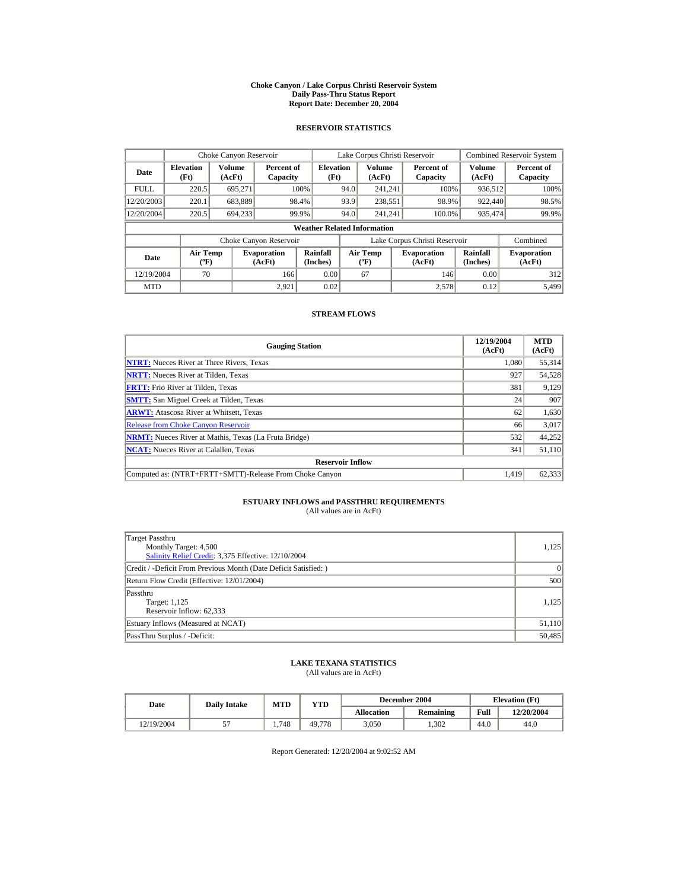#### **Choke Canyon / Lake Corpus Christi Reservoir System Daily Pass-Thru Status Report Report Date: December 20, 2004**

## **RESERVOIR STATISTICS**

|             | Choke Canyon Reservoir                      |                  |                              |                          | Lake Corpus Christi Reservoir |                                           |  |                               |                      | <b>Combined Reservoir System</b> |  |  |
|-------------|---------------------------------------------|------------------|------------------------------|--------------------------|-------------------------------|-------------------------------------------|--|-------------------------------|----------------------|----------------------------------|--|--|
| Date        | <b>Elevation</b><br>(Ft)                    | Volume<br>(AcFt) | Percent of<br>Capacity       | <b>Elevation</b><br>(Ft) |                               | <b>Volume</b><br>(AcFt)                   |  | Percent of<br>Capacity        | Volume<br>(AcFt)     | Percent of<br>Capacity           |  |  |
| <b>FULL</b> | 220.5                                       | 695,271          |                              | 100%                     | 94.0                          | 241.241                                   |  | 100%                          | 936,512              | 100%                             |  |  |
| 12/20/2003  | 220.1                                       | 683,889          |                              | 98.4%                    | 93.9                          | 238,551                                   |  | 98.9%                         | 922,440              | 98.5%                            |  |  |
| 12/20/2004  | 220.5                                       | 694.233          |                              | 99.9%                    | 94.0                          | 241.241                                   |  | 100.0%                        | 935,474              | 99.9%                            |  |  |
|             | <b>Weather Related Information</b>          |                  |                              |                          |                               |                                           |  |                               |                      |                                  |  |  |
|             |                                             |                  | Choke Canyon Reservoir       |                          |                               |                                           |  | Lake Corpus Christi Reservoir |                      | Combined                         |  |  |
| Date        | <b>Air Temp</b><br>$({}^{\circ}\mathrm{F})$ |                  | <b>Evaporation</b><br>(AcFt) | Rainfall<br>(Inches)     |                               | <b>Air Temp</b><br>$({}^{\circ}\text{F})$ |  | <b>Evaporation</b><br>(AcFt)  | Rainfall<br>(Inches) | <b>Evaporation</b><br>(AcFt)     |  |  |
| 12/19/2004  | 70                                          |                  | 166                          | 0.00                     |                               | 67                                        |  | 146                           | 0.00                 | 312                              |  |  |
| <b>MTD</b>  |                                             |                  | 2.921                        | 0.02                     |                               |                                           |  | 2.578                         | 0.12                 | 5.499                            |  |  |

### **STREAM FLOWS**

| <b>Gauging Station</b>                                       | 12/19/2004<br>(AcFt) | <b>MTD</b><br>(AcFt) |
|--------------------------------------------------------------|----------------------|----------------------|
| <b>NTRT:</b> Nueces River at Three Rivers, Texas             | 1.080                | 55,314               |
| <b>NRTT:</b> Nueces River at Tilden, Texas                   | 927                  | 54,528               |
| <b>FRTT:</b> Frio River at Tilden, Texas                     | 381                  | 9,129                |
| <b>SMTT:</b> San Miguel Creek at Tilden, Texas               | 24                   | 907                  |
| <b>ARWT:</b> Atascosa River at Whitsett, Texas               | 62                   | 1,630                |
| <b>Release from Choke Canyon Reservoir</b>                   | 66                   | 3,017                |
| <b>NRMT:</b> Nueces River at Mathis, Texas (La Fruta Bridge) | 532                  | 44,252               |
| <b>NCAT:</b> Nueces River at Calallen, Texas                 | 341                  | 51,110               |
| <b>Reservoir Inflow</b>                                      |                      |                      |
| Computed as: (NTRT+FRTT+SMTT)-Release From Choke Canyon      | 1.419                | 62,333               |

# **ESTUARY INFLOWS and PASSTHRU REQUIREMENTS**<br>(All values are in AcFt)

| Target Passthru<br>Monthly Target: 4,500<br>Salinity Relief Credit: 3,375 Effective: 12/10/2004 | 1,125  |
|-------------------------------------------------------------------------------------------------|--------|
| Credit / -Deficit From Previous Month (Date Deficit Satisfied:)                                 | 0      |
| Return Flow Credit (Effective: 12/01/2004)                                                      | 500    |
| Passthru<br>Target: 1,125<br>Reservoir Inflow: 62,333                                           | 1.125  |
| Estuary Inflows (Measured at NCAT)                                                              | 51,110 |
| PassThru Surplus / -Deficit:                                                                    | 50,485 |

## **LAKE TEXANA STATISTICS**

(All values are in AcFt)

| Date       | <b>Daily Intake</b> | <b>MTD</b> | $\mathbf{v_{TD}}$ |                   | December 2004 | <b>Elevation</b> (Ft) |            |
|------------|---------------------|------------|-------------------|-------------------|---------------|-----------------------|------------|
|            |                     |            |                   | <b>Allocation</b> | Remaining     | Full                  | 12/20/2004 |
| 12/19/2004 | J.,                 | 1.748      | 49.778            | 3.050             | 1.302         | 44.0                  | 44.0       |

Report Generated: 12/20/2004 at 9:02:52 AM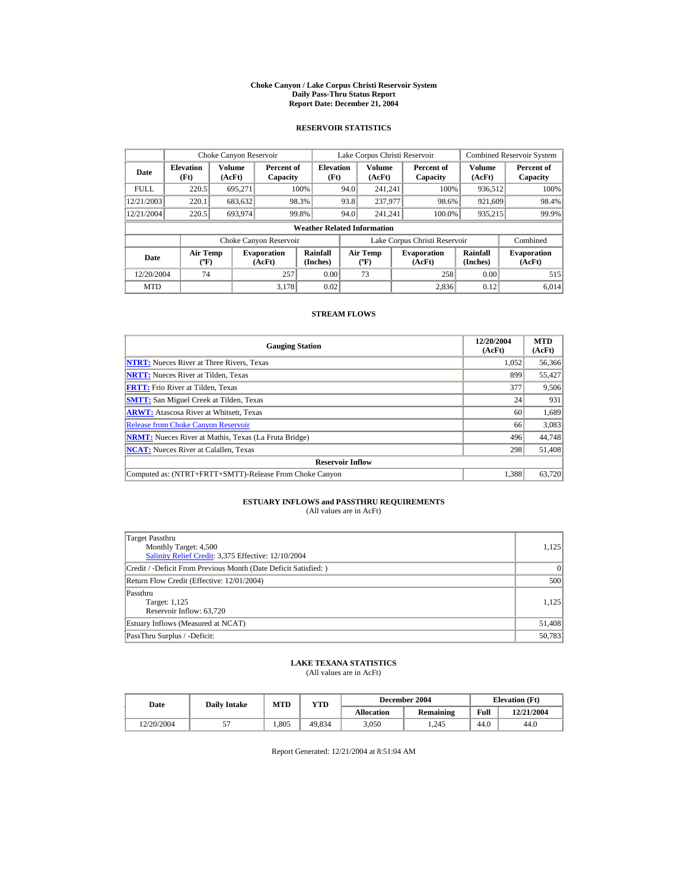#### **Choke Canyon / Lake Corpus Christi Reservoir System Daily Pass-Thru Status Report Report Date: December 21, 2004**

## **RESERVOIR STATISTICS**

|             | Choke Canyon Reservoir                      |                  |                              |                          | Lake Corpus Christi Reservoir |                                             |  |                               |                      | <b>Combined Reservoir System</b> |  |  |
|-------------|---------------------------------------------|------------------|------------------------------|--------------------------|-------------------------------|---------------------------------------------|--|-------------------------------|----------------------|----------------------------------|--|--|
| Date        | <b>Elevation</b><br>(Ft)                    | Volume<br>(AcFt) | Percent of<br>Capacity       | <b>Elevation</b><br>(Ft) |                               | Volume<br>(AcFt)                            |  | Percent of<br>Capacity        | Volume<br>(AcFt)     | Percent of<br>Capacity           |  |  |
| <b>FULL</b> | 220.5                                       | 695.271          |                              | 100%                     | 94.0                          | 241.241                                     |  | 100%                          | 936,512              | 100%                             |  |  |
| 12/21/2003  | 220.1                                       | 683,632          |                              | 98.3%                    | 93.8                          | 237,977                                     |  | 98.6%                         | 921,609              | 98.4%                            |  |  |
| 12/21/2004  | 220.5                                       | 693.974          |                              | 99.8%                    | 94.0                          | 241.241                                     |  | 100.0%                        | 935,215              | 99.9%                            |  |  |
|             | <b>Weather Related Information</b>          |                  |                              |                          |                               |                                             |  |                               |                      |                                  |  |  |
|             |                                             |                  | Choke Canyon Reservoir       |                          |                               |                                             |  | Lake Corpus Christi Reservoir |                      | Combined                         |  |  |
| Date        | <b>Air Temp</b><br>$({}^{\circ}\mathrm{F})$ |                  | <b>Evaporation</b><br>(AcFt) | Rainfall<br>(Inches)     |                               | <b>Air Temp</b><br>$({}^{\circ}\mathbf{F})$ |  | <b>Evaporation</b><br>(AcFt)  | Rainfall<br>(Inches) | <b>Evaporation</b><br>(AcFt)     |  |  |
| 12/20/2004  | 74                                          |                  | 257                          | 0.00                     |                               | 73                                          |  | 258                           | 0.00                 | 515                              |  |  |
| <b>MTD</b>  |                                             |                  | 3.178                        | 0.02                     |                               |                                             |  | 2.836                         | 0.12                 | 6.014                            |  |  |

### **STREAM FLOWS**

| <b>Gauging Station</b>                                       | 12/20/2004<br>(AcFt) | <b>MTD</b><br>(AcFt) |
|--------------------------------------------------------------|----------------------|----------------------|
| <b>NTRT:</b> Nueces River at Three Rivers, Texas             | 1.052                | 56,366               |
| <b>NRTT:</b> Nueces River at Tilden, Texas                   | 899                  | 55,427               |
| <b>FRTT:</b> Frio River at Tilden, Texas                     | 377                  | 9,506                |
| <b>SMTT:</b> San Miguel Creek at Tilden, Texas               | 24                   | 931                  |
| <b>ARWT:</b> Atascosa River at Whitsett, Texas               | 60                   | 1,689                |
| <b>Release from Choke Canyon Reservoir</b>                   | 66                   | 3,083                |
| <b>NRMT:</b> Nueces River at Mathis, Texas (La Fruta Bridge) | 496                  | 44.748               |
| <b>NCAT:</b> Nueces River at Calallen, Texas                 | 298                  | 51,408               |
| <b>Reservoir Inflow</b>                                      |                      |                      |
| Computed as: (NTRT+FRTT+SMTT)-Release From Choke Canyon      | 1.388                | 63,720               |

# **ESTUARY INFLOWS and PASSTHRU REQUIREMENTS**<br>(All values are in AcFt)

| Target Passthru<br>Monthly Target: 4,500<br>Salinity Relief Credit: 3,375 Effective: 12/10/2004 | 1,125  |
|-------------------------------------------------------------------------------------------------|--------|
| Credit / -Deficit From Previous Month (Date Deficit Satisfied:)                                 | 0      |
| Return Flow Credit (Effective: 12/01/2004)                                                      | 500    |
| Passthru<br>Target: 1,125<br>Reservoir Inflow: 63,720                                           | 1.125  |
| Estuary Inflows (Measured at NCAT)                                                              | 51,408 |
| PassThru Surplus / -Deficit:                                                                    | 50,783 |

## **LAKE TEXANA STATISTICS**

(All values are in AcFt)

| Date       | <b>Daily Intake</b> | MTD  | $\mathbf{v_{TD}}$ |                   | December 2004 | <b>Elevation</b> (Ft) |            |
|------------|---------------------|------|-------------------|-------------------|---------------|-----------------------|------------|
|            |                     |      |                   | <b>Allocation</b> | Remaining     | Full                  | 12/21/2004 |
| 12/20/2004 | J.                  | .805 | 49.834            | 3.050             | .245          | 44.0                  | 44.0       |

Report Generated: 12/21/2004 at 8:51:04 AM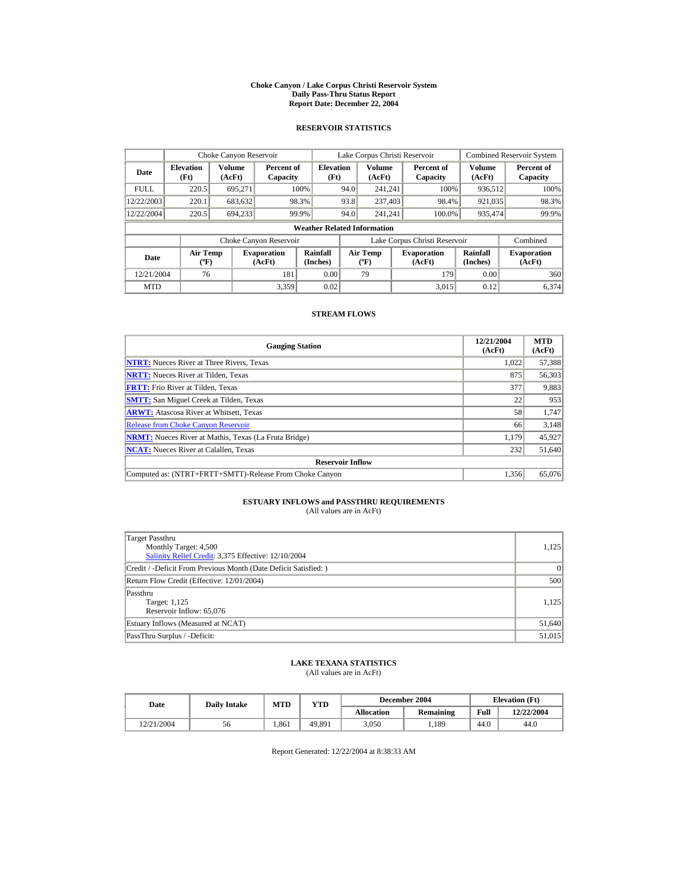#### **Choke Canyon / Lake Corpus Christi Reservoir System Daily Pass-Thru Status Report Report Date: December 22, 2004**

## **RESERVOIR STATISTICS**

|             | Choke Canyon Reservoir                      |                  |                              |                          | Lake Corpus Christi Reservoir |                                             |  |                               |                      | <b>Combined Reservoir System</b> |  |  |
|-------------|---------------------------------------------|------------------|------------------------------|--------------------------|-------------------------------|---------------------------------------------|--|-------------------------------|----------------------|----------------------------------|--|--|
| Date        | <b>Elevation</b><br>(Ft)                    | Volume<br>(AcFt) | Percent of<br>Capacity       | <b>Elevation</b><br>(Ft) |                               | Volume<br>(AcFt)                            |  | Percent of<br>Capacity        | Volume<br>(AcFt)     | Percent of<br>Capacity           |  |  |
| <b>FULL</b> | 220.5                                       | 695.271          |                              | 100%                     | 94.0                          | 241.241                                     |  | 100%                          | 936,512              | 100%                             |  |  |
| 12/22/2003  | 220.1                                       | 683,632          |                              | 98.3%                    | 93.8                          | 237,403                                     |  | 98.4%                         | 921,035              | 98.3%                            |  |  |
| 12/22/2004  | 220.5                                       | 694.233          |                              | 99.9%                    | 94.0                          | 241.241                                     |  | 100.0%                        | 935,474              | 99.9%                            |  |  |
|             | <b>Weather Related Information</b>          |                  |                              |                          |                               |                                             |  |                               |                      |                                  |  |  |
|             |                                             |                  | Choke Canyon Reservoir       |                          |                               |                                             |  | Lake Corpus Christi Reservoir |                      | Combined                         |  |  |
| Date        | <b>Air Temp</b><br>$({}^{\circ}\mathrm{F})$ |                  | <b>Evaporation</b><br>(AcFt) | Rainfall<br>(Inches)     |                               | <b>Air Temp</b><br>$({}^{\circ}\mathbf{F})$ |  | <b>Evaporation</b><br>(AcFt)  | Rainfall<br>(Inches) | <b>Evaporation</b><br>(AcFt)     |  |  |
| 12/21/2004  | 76                                          |                  | 181                          | 0.00                     |                               | 79                                          |  | 179                           | 0.00                 | 360                              |  |  |
| <b>MTD</b>  |                                             |                  | 3.359                        | 0.02                     |                               |                                             |  | 3.015                         | 0.12                 | 6.374                            |  |  |

### **STREAM FLOWS**

| <b>Gauging Station</b>                                       | 12/21/2004<br>(AcFt) | <b>MTD</b><br>(AcFt) |
|--------------------------------------------------------------|----------------------|----------------------|
| <b>NTRT:</b> Nueces River at Three Rivers, Texas             | 1,022                | 57,388               |
| <b>NRTT:</b> Nueces River at Tilden, Texas                   | 875                  | 56,303               |
| <b>FRTT:</b> Frio River at Tilden, Texas                     | 377                  | 9,883                |
| <b>SMTT:</b> San Miguel Creek at Tilden, Texas               | 22                   | 953                  |
| <b>ARWT:</b> Atascosa River at Whitsett, Texas               | 58                   | 1,747                |
| <b>Release from Choke Canvon Reservoir</b>                   | 66                   | 3,148                |
| <b>NRMT:</b> Nueces River at Mathis, Texas (La Fruta Bridge) | 1.179                | 45,927               |
| <b>NCAT:</b> Nueces River at Calallen, Texas                 | 232                  | 51,640               |
| <b>Reservoir Inflow</b>                                      |                      |                      |
| Computed as: (NTRT+FRTT+SMTT)-Release From Choke Canyon      | 1.356                | 65,076               |

# **ESTUARY INFLOWS and PASSTHRU REQUIREMENTS**<br>(All values are in AcFt)

| Target Passthru<br>Monthly Target: 4,500<br>Salinity Relief Credit: 3,375 Effective: 12/10/2004 | 1,125  |
|-------------------------------------------------------------------------------------------------|--------|
| Credit / -Deficit From Previous Month (Date Deficit Satisfied:)                                 | 0      |
| Return Flow Credit (Effective: 12/01/2004)                                                      | 500    |
| Passthru<br>Target: 1,125<br>Reservoir Inflow: 65,076                                           | 1.125  |
| Estuary Inflows (Measured at NCAT)                                                              | 51,640 |
| PassThru Surplus / -Deficit:                                                                    | 51,015 |

## **LAKE TEXANA STATISTICS**

(All values are in AcFt)

| Date       | <b>Daily Intake</b> | MTD  | $\mathbf{v_{TD}}$ |                   | December 2004 | <b>Elevation</b> (Ft) |            |
|------------|---------------------|------|-------------------|-------------------|---------------|-----------------------|------------|
|            |                     |      |                   | <b>Allocation</b> | Remaining     | Full                  | 12/22/2004 |
| 12/21/2004 | 56                  | .861 | 49.891            | 3.050             | . 189         | 44.0                  | 44.0       |

Report Generated: 12/22/2004 at 8:38:33 AM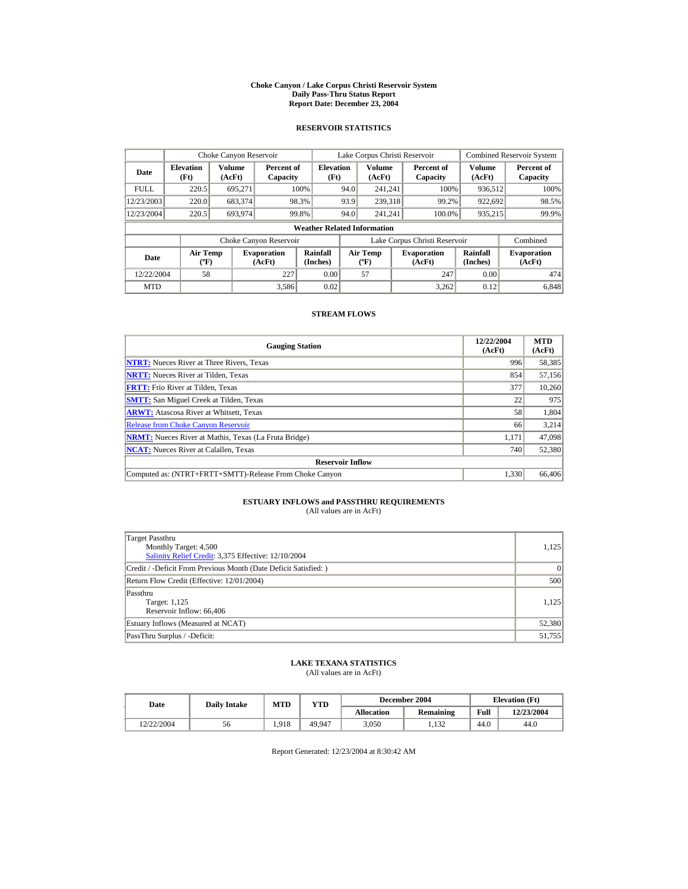#### **Choke Canyon / Lake Corpus Christi Reservoir System Daily Pass-Thru Status Report Report Date: December 23, 2004**

## **RESERVOIR STATISTICS**

|             | Choke Canyon Reservoir                      |                  |                              |                          | Lake Corpus Christi Reservoir |                                           |  |                               |                      | <b>Combined Reservoir System</b> |  |  |
|-------------|---------------------------------------------|------------------|------------------------------|--------------------------|-------------------------------|-------------------------------------------|--|-------------------------------|----------------------|----------------------------------|--|--|
| Date        | <b>Elevation</b><br>(Ft)                    | Volume<br>(AcFt) | Percent of<br>Capacity       | <b>Elevation</b><br>(Ft) |                               | Volume<br>(AcFt)                          |  | Percent of<br>Capacity        | Volume<br>(AcFt)     | Percent of<br>Capacity           |  |  |
| <b>FULL</b> | 220.5                                       | 695.271          |                              | 100%                     | 94.0                          | 241.241                                   |  | 100%                          | 936,512              | 100%                             |  |  |
| 12/23/2003  | 220.0                                       | 683,374          |                              | 98.3%                    | 93.9                          | 239,318                                   |  | 99.2%                         | 922,692              | 98.5%                            |  |  |
| 12/23/2004  | 220.5                                       | 693.974          |                              | 99.8%                    | 94.0                          | 241.241                                   |  | 100.0%                        | 935,215              | 99.9%                            |  |  |
|             | <b>Weather Related Information</b>          |                  |                              |                          |                               |                                           |  |                               |                      |                                  |  |  |
|             |                                             |                  | Choke Canyon Reservoir       |                          |                               |                                           |  | Lake Corpus Christi Reservoir |                      | Combined                         |  |  |
| Date        | <b>Air Temp</b><br>$({}^{\circ}\mathrm{F})$ |                  | <b>Evaporation</b><br>(AcFt) | Rainfall<br>(Inches)     |                               | <b>Air Temp</b><br>$({}^{\circ}\text{F})$ |  | <b>Evaporation</b><br>(AcFt)  | Rainfall<br>(Inches) | <b>Evaporation</b><br>(AcFt)     |  |  |
| 12/22/2004  | 58                                          |                  | 227                          | 0.00                     |                               | 57                                        |  | 247                           | 0.00                 | 474                              |  |  |
| <b>MTD</b>  |                                             |                  | 3.586                        | 0.02                     |                               |                                           |  | 3.262                         | 0.12                 | 6.848                            |  |  |

### **STREAM FLOWS**

| <b>Gauging Station</b>                                       | 12/22/2004<br>(AcFt) | <b>MTD</b><br>(AcFt) |
|--------------------------------------------------------------|----------------------|----------------------|
| <b>NTRT:</b> Nueces River at Three Rivers, Texas             | 996                  | 58,385               |
| <b>NRTT:</b> Nueces River at Tilden, Texas                   | 854                  | 57,156               |
| <b>FRTT:</b> Frio River at Tilden, Texas                     | 377                  | 10,260               |
| <b>SMTT:</b> San Miguel Creek at Tilden, Texas               | 22                   | 975                  |
| <b>ARWT:</b> Atascosa River at Whitsett, Texas               | 58                   | 1,804                |
| <b>Release from Choke Canyon Reservoir</b>                   | 66                   | 3,214                |
| <b>NRMT:</b> Nueces River at Mathis, Texas (La Fruta Bridge) | 1.171                | 47,098               |
| <b>NCAT:</b> Nueces River at Calallen, Texas                 | 740                  | 52,380               |
| <b>Reservoir Inflow</b>                                      |                      |                      |
| Computed as: (NTRT+FRTT+SMTT)-Release From Choke Canyon      | 1.330                | 66,406               |

# **ESTUARY INFLOWS and PASSTHRU REQUIREMENTS**<br>(All values are in AcFt)

| Target Passthru<br>Monthly Target: 4,500<br>Salinity Relief Credit: 3,375 Effective: 12/10/2004 | 1,125  |
|-------------------------------------------------------------------------------------------------|--------|
| Credit / -Deficit From Previous Month (Date Deficit Satisfied:)                                 | 0      |
| Return Flow Credit (Effective: 12/01/2004)                                                      | 500    |
| Passthru<br>Target: 1,125<br>Reservoir Inflow: 66,406                                           | 1.125  |
| Estuary Inflows (Measured at NCAT)                                                              | 52,380 |
| PassThru Surplus / -Deficit:                                                                    | 51,755 |

## **LAKE TEXANA STATISTICS**

(All values are in AcFt)

| Date       | <b>Daily Intake</b> | MTD   | $\mathbf{v_{TD}}$ |                   | December 2004 | <b>Elevation</b> (Ft) |            |
|------------|---------------------|-------|-------------------|-------------------|---------------|-----------------------|------------|
|            |                     |       |                   | <b>Allocation</b> | Remaining     | Full                  | 12/23/2004 |
| 12/22/2004 | 56                  | 1.918 | 49.947            | 3.050             | 1.132         | 44.0                  | 44.0       |

Report Generated: 12/23/2004 at 8:30:42 AM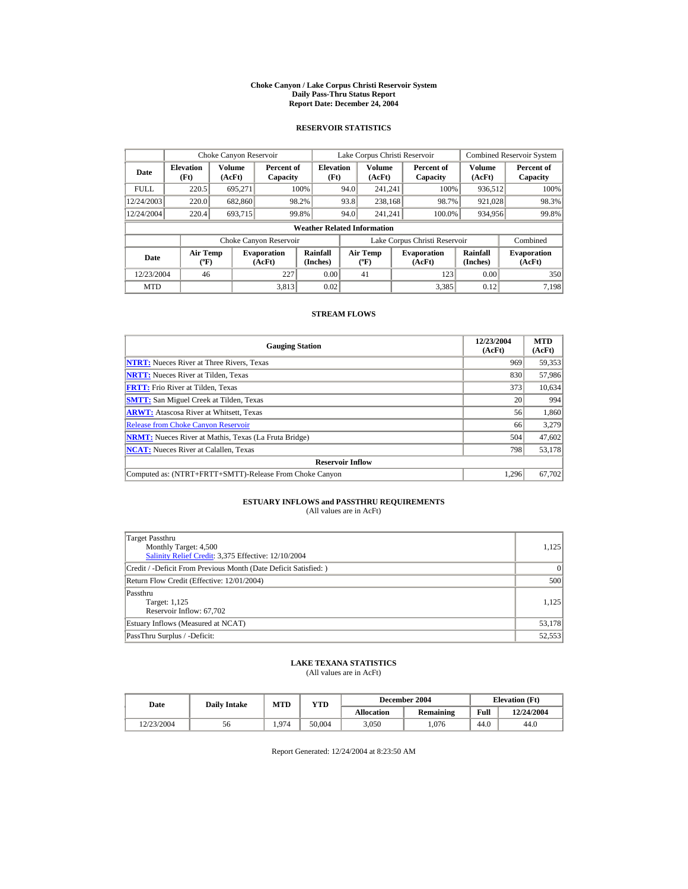#### **Choke Canyon / Lake Corpus Christi Reservoir System Daily Pass-Thru Status Report Report Date: December 24, 2004**

## **RESERVOIR STATISTICS**

|             | Choke Canyon Reservoir                      |                  |                              |                          | Lake Corpus Christi Reservoir               |                  |  |                               |                      | <b>Combined Reservoir System</b> |  |  |
|-------------|---------------------------------------------|------------------|------------------------------|--------------------------|---------------------------------------------|------------------|--|-------------------------------|----------------------|----------------------------------|--|--|
| Date        | <b>Elevation</b><br>(Ft)                    | Volume<br>(AcFt) | Percent of<br>Capacity       | <b>Elevation</b><br>(Ft) |                                             | Volume<br>(AcFt) |  | Percent of<br>Capacity        | Volume<br>(AcFt)     | Percent of<br>Capacity           |  |  |
| <b>FULL</b> | 220.5                                       | 695.271          |                              | 100%                     | 94.0                                        | 241.241          |  | 100%                          | 936,512              | 100%                             |  |  |
| 12/24/2003  | 220.0                                       | 682,860          |                              | 98.2%                    | 93.8                                        | 238,168          |  | 98.7%                         | 921,028              | 98.3%                            |  |  |
| 12/24/2004  | 220.4                                       | 693.715          |                              | 99.8%                    | 94.0                                        | 241.241          |  | 100.0%                        | 934,956              | 99.8%                            |  |  |
|             | <b>Weather Related Information</b>          |                  |                              |                          |                                             |                  |  |                               |                      |                                  |  |  |
|             |                                             |                  | Choke Canyon Reservoir       |                          |                                             |                  |  | Lake Corpus Christi Reservoir |                      | Combined                         |  |  |
| Date        | <b>Air Temp</b><br>$({}^{\circ}\mathrm{F})$ |                  | <b>Evaporation</b><br>(AcFt) | Rainfall<br>(Inches)     | <b>Air Temp</b><br>$({}^{\circ}\mathbf{F})$ |                  |  | <b>Evaporation</b><br>(AcFt)  | Rainfall<br>(Inches) | <b>Evaporation</b><br>(AcFt)     |  |  |
| 12/23/2004  | 46                                          |                  | 227                          | 0.00                     |                                             | 41               |  | 123                           | 0.00                 | 350                              |  |  |
| <b>MTD</b>  |                                             |                  | 3.813                        | 0.02                     |                                             |                  |  | 3,385                         | 0.12                 | 7.198                            |  |  |

### **STREAM FLOWS**

| <b>Gauging Station</b>                                       | 12/23/2004<br>(AcFt) | <b>MTD</b><br>(AcFt) |
|--------------------------------------------------------------|----------------------|----------------------|
| <b>NTRT:</b> Nueces River at Three Rivers, Texas             | 969                  | 59,353               |
| <b>NRTT:</b> Nueces River at Tilden, Texas                   | 830                  | 57,986               |
| <b>FRTT:</b> Frio River at Tilden, Texas                     | 373                  | 10,634               |
| <b>SMTT:</b> San Miguel Creek at Tilden, Texas               | 20                   | 994                  |
| <b>ARWT:</b> Atascosa River at Whitsett, Texas               | 56                   | 1,860                |
| <b>Release from Choke Canyon Reservoir</b>                   | 66                   | 3,279                |
| <b>NRMT:</b> Nueces River at Mathis, Texas (La Fruta Bridge) | 504                  | 47,602               |
| <b>NCAT:</b> Nueces River at Calallen, Texas                 | 798                  | 53,178               |
| <b>Reservoir Inflow</b>                                      |                      |                      |
| Computed as: (NTRT+FRTT+SMTT)-Release From Choke Canyon      | 1.296                | 67,702               |

# **ESTUARY INFLOWS and PASSTHRU REQUIREMENTS**<br>(All values are in AcFt)

| Target Passthru<br>Monthly Target: 4,500<br>Salinity Relief Credit: 3,375 Effective: 12/10/2004 | 1,125  |
|-------------------------------------------------------------------------------------------------|--------|
| Credit / -Deficit From Previous Month (Date Deficit Satisfied:)                                 | 0      |
| Return Flow Credit (Effective: 12/01/2004)                                                      | 500    |
| Passthru<br>Target: 1,125<br>Reservoir Inflow: 67,702                                           | 1.125  |
| Estuary Inflows (Measured at NCAT)                                                              | 53,178 |
| PassThru Surplus / -Deficit:                                                                    | 52,553 |

## **LAKE TEXANA STATISTICS**

(All values are in AcFt)

| Date       | <b>Daily Intake</b> | MTD   | $_{\rm VTD}$ |                   | December 2004 | <b>Elevation</b> (Ft) |            |
|------------|---------------------|-------|--------------|-------------------|---------------|-----------------------|------------|
|            |                     |       |              | <b>Allocation</b> | Remaining     | Full                  | 12/24/2004 |
| 12/23/2004 | 56                  | 1.974 | 50.004       | 3.050             | .076          | 44.0                  | 44.0       |

Report Generated: 12/24/2004 at 8:23:50 AM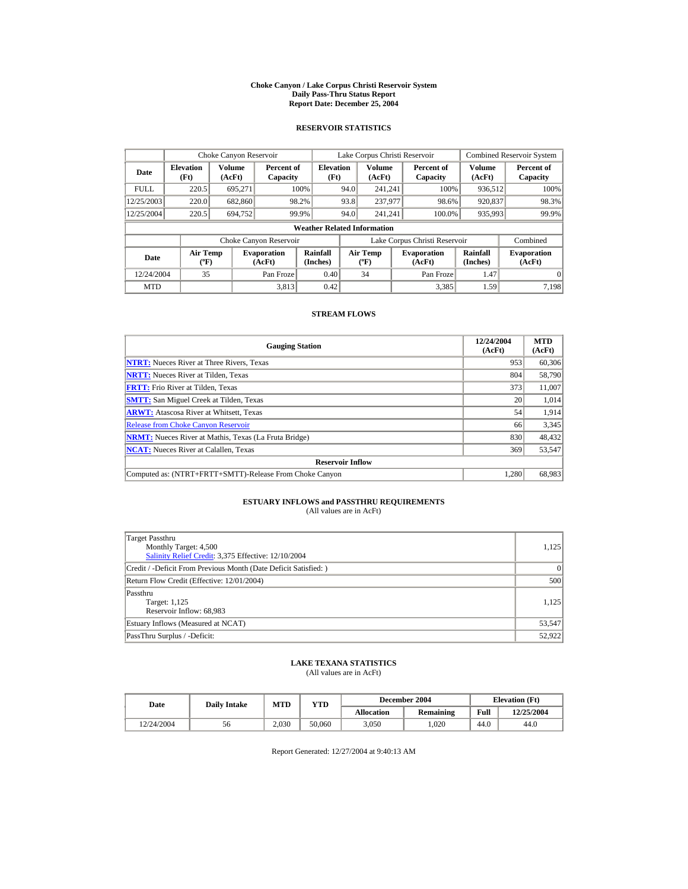#### **Choke Canyon / Lake Corpus Christi Reservoir System Daily Pass-Thru Status Report Report Date: December 25, 2004**

## **RESERVOIR STATISTICS**

|             | Choke Canyon Reservoir                      |                  |                              |                          | Lake Corpus Christi Reservoir |                                           |  |                               |                      | <b>Combined Reservoir System</b> |  |  |
|-------------|---------------------------------------------|------------------|------------------------------|--------------------------|-------------------------------|-------------------------------------------|--|-------------------------------|----------------------|----------------------------------|--|--|
| Date        | <b>Elevation</b><br>(Ft)                    | Volume<br>(AcFt) | Percent of<br>Capacity       | <b>Elevation</b><br>(Ft) |                               | Volume<br>(AcFt)                          |  | Percent of<br>Capacity        | Volume<br>(AcFt)     | Percent of<br>Capacity           |  |  |
| <b>FULL</b> | 220.5                                       | 695.271          |                              | 100%                     | 94.0                          | 241.241                                   |  | 100%                          | 936,512              | 100%                             |  |  |
| 12/25/2003  | 220.0                                       | 682,860          |                              | 98.2%                    | 93.8                          | 237,977                                   |  | 98.6%                         | 920,837              | 98.3%                            |  |  |
| 12/25/2004  | 220.5                                       | 694.752          |                              | 99.9%                    | 94.0                          | 241.241                                   |  | 100.0%                        | 935,993              | 99.9%                            |  |  |
|             | <b>Weather Related Information</b>          |                  |                              |                          |                               |                                           |  |                               |                      |                                  |  |  |
|             |                                             |                  | Choke Canyon Reservoir       |                          |                               |                                           |  | Lake Corpus Christi Reservoir |                      | Combined                         |  |  |
| Date        | <b>Air Temp</b><br>$({}^{\circ}\mathrm{F})$ |                  | <b>Evaporation</b><br>(AcFt) | Rainfall<br>(Inches)     |                               | <b>Air Temp</b><br>$({}^{\circ}\text{F})$ |  | <b>Evaporation</b><br>(AcFt)  | Rainfall<br>(Inches) | <b>Evaporation</b><br>(AcFt)     |  |  |
| 12/24/2004  | 35                                          |                  | Pan Froze                    | 0.40                     |                               | 34                                        |  | Pan Froze                     | 1.47                 | $\Omega$                         |  |  |
| <b>MTD</b>  |                                             |                  | 3.813                        | 0.42                     |                               |                                           |  | 3.385                         | 1.59                 | 7.198                            |  |  |

### **STREAM FLOWS**

| <b>Gauging Station</b>                                       | 12/24/2004<br>(AcFt) | <b>MTD</b><br>(AcFt) |
|--------------------------------------------------------------|----------------------|----------------------|
| <b>NTRT:</b> Nueces River at Three Rivers, Texas             | 953                  | 60,306               |
| <b>NRTT:</b> Nueces River at Tilden, Texas                   | 804                  | 58,790               |
| <b>FRTT:</b> Frio River at Tilden, Texas                     | 373                  | 11,007               |
| <b>SMTT:</b> San Miguel Creek at Tilden, Texas               | 20                   | 1,014                |
| <b>ARWT:</b> Atascosa River at Whitsett, Texas               | 54                   | 1,914                |
| <b>Release from Choke Canyon Reservoir</b>                   | 66                   | 3,345                |
| <b>NRMT:</b> Nueces River at Mathis, Texas (La Fruta Bridge) | 830                  | 48,432               |
| <b>NCAT:</b> Nueces River at Calallen, Texas                 | 369                  | 53,547               |
| <b>Reservoir Inflow</b>                                      |                      |                      |
| Computed as: (NTRT+FRTT+SMTT)-Release From Choke Canyon      | 1.280                | 68,983               |

# **ESTUARY INFLOWS and PASSTHRU REQUIREMENTS**<br>(All values are in AcFt)

| Target Passthru<br>Monthly Target: 4,500<br>Salinity Relief Credit: 3,375 Effective: 12/10/2004 | 1,125  |
|-------------------------------------------------------------------------------------------------|--------|
| Credit / -Deficit From Previous Month (Date Deficit Satisfied:)                                 | 0      |
| Return Flow Credit (Effective: 12/01/2004)                                                      | 500    |
| Passthru<br>Target: 1,125<br>Reservoir Inflow: 68,983                                           | 1.125  |
| Estuary Inflows (Measured at NCAT)                                                              | 53,547 |
| PassThru Surplus / -Deficit:                                                                    | 52,922 |

## **LAKE TEXANA STATISTICS**

(All values are in AcFt)

| Date       | <b>Daily Intake</b> | <b>MTD</b> | YTD    |                   | December 2004 | <b>Elevation</b> (Ft) |            |
|------------|---------------------|------------|--------|-------------------|---------------|-----------------------|------------|
|            |                     |            |        | <b>Allocation</b> | Remaining     | Full                  | 12/25/2004 |
| 12/24/2004 | 56                  | 2.030      | 50,060 | 3.050             | .020          | 44.0                  | 44.0       |

Report Generated: 12/27/2004 at 9:40:13 AM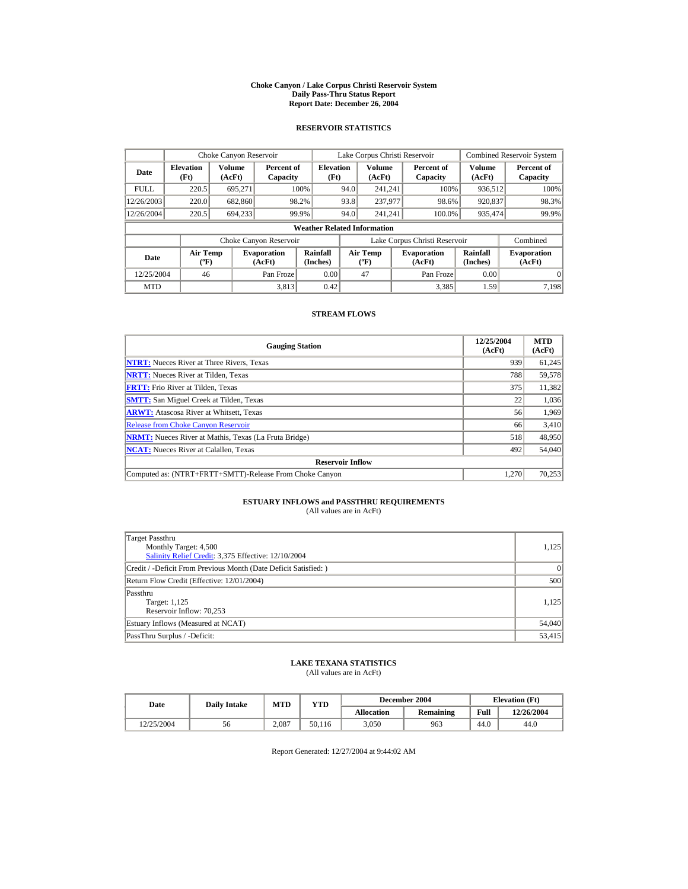#### **Choke Canyon / Lake Corpus Christi Reservoir System Daily Pass-Thru Status Report Report Date: December 26, 2004**

## **RESERVOIR STATISTICS**

|             | Choke Canyon Reservoir                      |                  |                              |                          | Lake Corpus Christi Reservoir |                                           |  |                               |                      | <b>Combined Reservoir System</b> |  |  |
|-------------|---------------------------------------------|------------------|------------------------------|--------------------------|-------------------------------|-------------------------------------------|--|-------------------------------|----------------------|----------------------------------|--|--|
| Date        | <b>Elevation</b><br>(Ft)                    | Volume<br>(AcFt) | Percent of<br>Capacity       | <b>Elevation</b><br>(Ft) |                               | Volume<br>(AcFt)                          |  | Percent of<br>Capacity        | Volume<br>(AcFt)     | Percent of<br>Capacity           |  |  |
| <b>FULL</b> | 220.5                                       | 695.271          |                              | 100%                     | 94.0                          | 241.241                                   |  | 100%                          | 936,512              | 100%                             |  |  |
| 12/26/2003  | 220.0                                       | 682,860          |                              | 98.2%                    | 93.8                          | 237,977                                   |  | 98.6%                         | 920,837              | 98.3%                            |  |  |
| 12/26/2004  | 220.5                                       | 694.233          |                              | 99.9%                    | 94.0                          | 241.241                                   |  | 100.0%                        | 935,474              | 99.9%                            |  |  |
|             | <b>Weather Related Information</b>          |                  |                              |                          |                               |                                           |  |                               |                      |                                  |  |  |
|             |                                             |                  | Choke Canyon Reservoir       |                          |                               |                                           |  | Lake Corpus Christi Reservoir |                      | Combined                         |  |  |
| Date        | <b>Air Temp</b><br>$({}^{\circ}\mathrm{F})$ |                  | <b>Evaporation</b><br>(AcFt) | Rainfall<br>(Inches)     |                               | <b>Air Temp</b><br>$({}^{\circ}\text{F})$ |  | <b>Evaporation</b><br>(AcFt)  | Rainfall<br>(Inches) | <b>Evaporation</b><br>(AcFt)     |  |  |
| 12/25/2004  | 46                                          |                  | Pan Froze                    | 0.00                     |                               | 47                                        |  | Pan Froze                     | 0.00                 | $\Omega$                         |  |  |
| <b>MTD</b>  |                                             |                  | 3.813                        | 0.42                     |                               |                                           |  | 3.385                         | 1.59                 | 7.198                            |  |  |

### **STREAM FLOWS**

| <b>Gauging Station</b>                                       | 12/25/2004<br>(AcFt) | <b>MTD</b><br>(AcFt) |
|--------------------------------------------------------------|----------------------|----------------------|
| <b>NTRT:</b> Nueces River at Three Rivers, Texas             | 939                  | 61,245               |
| <b>NRTT:</b> Nueces River at Tilden, Texas                   | 788                  | 59,578               |
| <b>FRTT:</b> Frio River at Tilden, Texas                     | 375                  | 11,382               |
| <b>SMTT:</b> San Miguel Creek at Tilden, Texas               | 22                   | 1,036                |
| <b>ARWT:</b> Atascosa River at Whitsett, Texas               | 56                   | 1,969                |
| <b>Release from Choke Canyon Reservoir</b>                   | 66                   | 3,410                |
| <b>NRMT:</b> Nueces River at Mathis, Texas (La Fruta Bridge) | 518                  | 48,950               |
| <b>NCAT:</b> Nueces River at Calallen, Texas                 | 492                  | 54,040               |
| <b>Reservoir Inflow</b>                                      |                      |                      |
| Computed as: (NTRT+FRTT+SMTT)-Release From Choke Canyon      | 1.270                | 70,253               |

# **ESTUARY INFLOWS and PASSTHRU REQUIREMENTS**<br>(All values are in AcFt)

| Target Passthru<br>Monthly Target: 4,500<br>Salinity Relief Credit: 3,375 Effective: 12/10/2004 | 1,125  |
|-------------------------------------------------------------------------------------------------|--------|
| Credit / -Deficit From Previous Month (Date Deficit Satisfied:)                                 | 0      |
| Return Flow Credit (Effective: 12/01/2004)                                                      | 500    |
| Passthru<br>Target: 1,125<br>Reservoir Inflow: 70,253                                           | 1.125  |
| Estuary Inflows (Measured at NCAT)                                                              | 54,040 |
| PassThru Surplus / -Deficit:                                                                    | 53,415 |

## **LAKE TEXANA STATISTICS**

(All values are in AcFt)

| Date       | <b>Daily Intake</b> | <b>MTD</b> | YTD    |                   | December 2004 | <b>Elevation</b> (Ft) |            |
|------------|---------------------|------------|--------|-------------------|---------------|-----------------------|------------|
|            |                     |            |        | <b>Allocation</b> | Remaining     | Full                  | 12/26/2004 |
| 12/25/2004 | 56                  | 2.087      | 50.116 | 3.050             | 963           | 44.0                  | 44.0       |

Report Generated: 12/27/2004 at 9:44:02 AM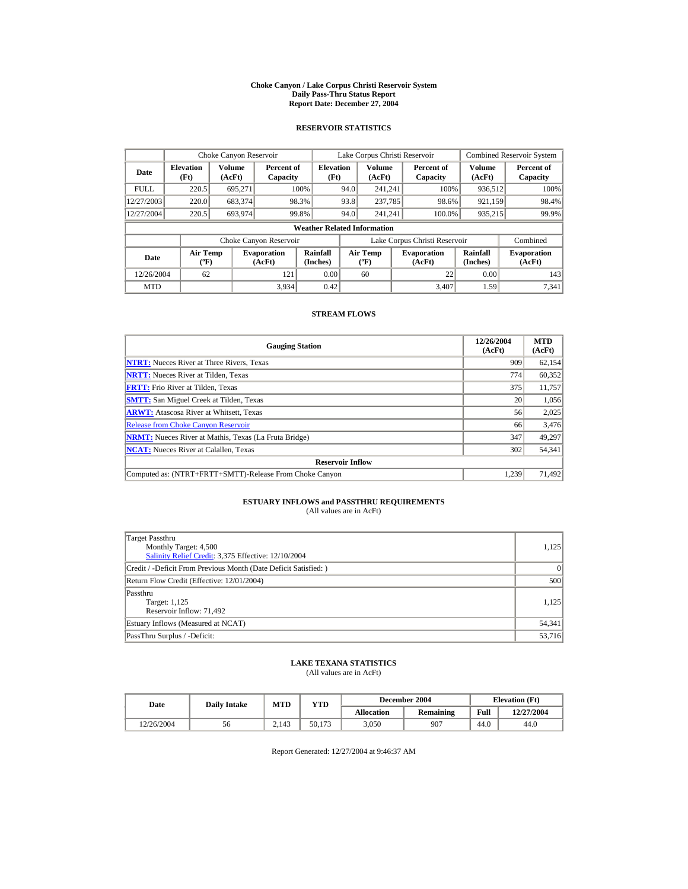#### **Choke Canyon / Lake Corpus Christi Reservoir System Daily Pass-Thru Status Report Report Date: December 27, 2004**

## **RESERVOIR STATISTICS**

|             | Choke Canyon Reservoir                      |                  |                              |                          | Lake Corpus Christi Reservoir |                                             |  |                               | <b>Combined Reservoir System</b> |                              |  |  |
|-------------|---------------------------------------------|------------------|------------------------------|--------------------------|-------------------------------|---------------------------------------------|--|-------------------------------|----------------------------------|------------------------------|--|--|
| Date        | <b>Elevation</b><br>(Ft)                    | Volume<br>(AcFt) | Percent of<br>Capacity       | <b>Elevation</b><br>(Ft) |                               | <b>Volume</b><br>(AcFt)                     |  | Percent of<br>Capacity        | <b>Volume</b><br>(AcFt)          | Percent of<br>Capacity       |  |  |
| <b>FULL</b> | 220.5                                       | 695,271          |                              | 100%                     | 94.0                          | 241.241                                     |  | 100%                          | 936,512                          | 100%                         |  |  |
| 12/27/2003  | 220.0                                       | 683,374          |                              | 98.3%                    | 93.8                          | 237,785                                     |  | 98.6%                         | 921,159                          | 98.4%                        |  |  |
| 12/27/2004  | 220.5                                       | 693.974          |                              | 99.8%                    | 94.0                          | 241.241                                     |  | 100.0%                        | 935,215                          | 99.9%                        |  |  |
|             | <b>Weather Related Information</b>          |                  |                              |                          |                               |                                             |  |                               |                                  |                              |  |  |
|             |                                             |                  | Choke Canyon Reservoir       |                          |                               |                                             |  | Lake Corpus Christi Reservoir |                                  | Combined                     |  |  |
| Date        | <b>Air Temp</b><br>$({}^{\circ}\mathrm{F})$ |                  | <b>Evaporation</b><br>(AcFt) | Rainfall<br>(Inches)     |                               | <b>Air Temp</b><br>$({}^{\circ}\mathbf{F})$ |  | <b>Evaporation</b><br>(AcFt)  | Rainfall<br>(Inches)             | <b>Evaporation</b><br>(AcFt) |  |  |
| 12/26/2004  | 62                                          |                  | 121                          | 0.00                     |                               | 60                                          |  | 22                            | 0.00                             | 143                          |  |  |
| <b>MTD</b>  |                                             |                  | 3,934                        | 0.42                     |                               |                                             |  | 3.407                         | 1.59                             | 7.341                        |  |  |

### **STREAM FLOWS**

| <b>Gauging Station</b>                                       | 12/26/2004<br>(AcFt) | <b>MTD</b><br>(AcFt) |
|--------------------------------------------------------------|----------------------|----------------------|
| <b>NTRT:</b> Nueces River at Three Rivers, Texas             | 909                  | 62,154               |
| <b>NRTT:</b> Nueces River at Tilden, Texas                   | 774                  | 60,352               |
| <b>FRTT:</b> Frio River at Tilden, Texas                     | 375                  | 11,757               |
| <b>SMTT:</b> San Miguel Creek at Tilden, Texas               | 20                   | 1,056                |
| <b>ARWT:</b> Atascosa River at Whitsett, Texas               | 56                   | 2,025                |
| <b>Release from Choke Canvon Reservoir</b>                   | 66                   | 3,476                |
| <b>NRMT:</b> Nueces River at Mathis, Texas (La Fruta Bridge) | 347                  | 49,297               |
| <b>NCAT:</b> Nueces River at Calallen, Texas                 | 302                  | 54,341               |
| <b>Reservoir Inflow</b>                                      |                      |                      |
| Computed as: (NTRT+FRTT+SMTT)-Release From Choke Canyon      | 1.239                | 71,492               |

# **ESTUARY INFLOWS and PASSTHRU REQUIREMENTS**<br>(All values are in AcFt)

| Target Passthru<br>Monthly Target: 4,500<br>Salinity Relief Credit: 3,375 Effective: 12/10/2004 | 1,125  |
|-------------------------------------------------------------------------------------------------|--------|
| Credit / -Deficit From Previous Month (Date Deficit Satisfied:)                                 | 0      |
| Return Flow Credit (Effective: 12/01/2004)                                                      | 500    |
| Passthru<br>Target: 1,125<br>Reservoir Inflow: 71,492                                           | 1.125  |
| Estuary Inflows (Measured at NCAT)                                                              | 54,341 |
| PassThru Surplus / -Deficit:                                                                    | 53,716 |

## **LAKE TEXANA STATISTICS**

(All values are in AcFt)

| Date       | <b>Daily Intake</b> | <b>MTD</b> | YTD    |                   | December 2004 | <b>Elevation</b> (Ft) |            |
|------------|---------------------|------------|--------|-------------------|---------------|-----------------------|------------|
|            |                     |            |        | <b>Allocation</b> | Remaining     | Full                  | 12/27/2004 |
| 12/26/2004 | 56                  | 2.143      | 50.173 | 3.050             | 907           | 44.0                  | 44.0       |

Report Generated: 12/27/2004 at 9:46:37 AM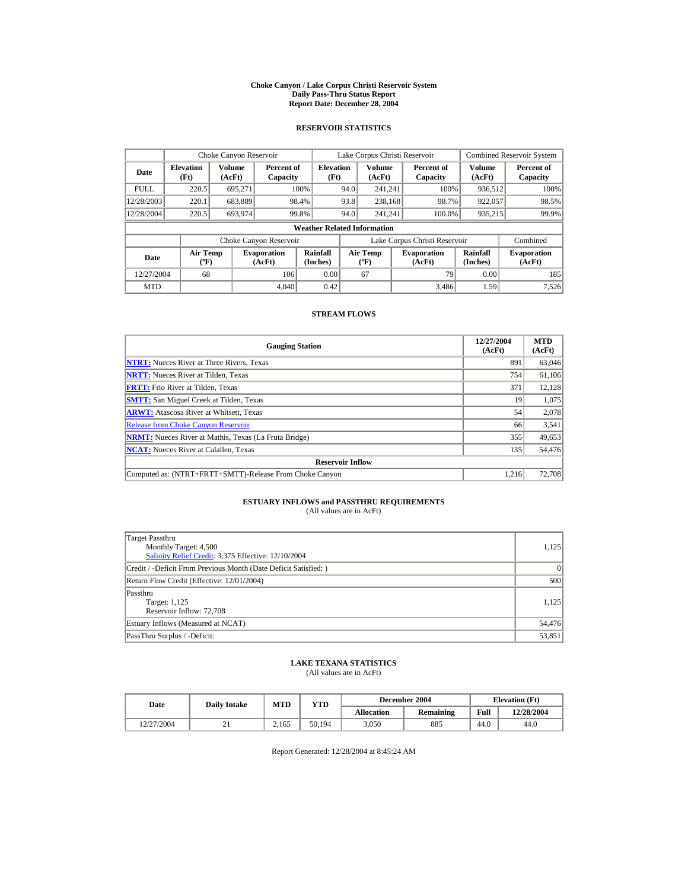#### **Choke Canyon / Lake Corpus Christi Reservoir System Daily Pass-Thru Status Report Report Date: December 28, 2004**

## **RESERVOIR STATISTICS**

|             | Choke Canyon Reservoir                      |                  |                              |                          | Lake Corpus Christi Reservoir |                                           |  |                               |                      | <b>Combined Reservoir System</b> |  |  |
|-------------|---------------------------------------------|------------------|------------------------------|--------------------------|-------------------------------|-------------------------------------------|--|-------------------------------|----------------------|----------------------------------|--|--|
| Date        | <b>Elevation</b><br>(Ft)                    | Volume<br>(AcFt) | Percent of<br>Capacity       | <b>Elevation</b><br>(Ft) |                               | Volume<br>(AcFt)                          |  | Percent of<br>Capacity        | Volume<br>(AcFt)     | Percent of<br>Capacity           |  |  |
| <b>FULL</b> | 220.5                                       | 695.271          |                              | 100%                     | 94.0                          | 241.241                                   |  | 100%                          | 936,512              | 100%                             |  |  |
| 12/28/2003  | 220.1                                       | 683,889          |                              | 98.4%                    | 93.8                          | 238,168                                   |  | 98.7%                         | 922,057              | 98.5%                            |  |  |
| 12/28/2004  | 220.5                                       | 693.974          |                              | 99.8%                    | 94.0                          | 241.241                                   |  | 100.0%                        | 935,215              | 99.9%                            |  |  |
|             | <b>Weather Related Information</b>          |                  |                              |                          |                               |                                           |  |                               |                      |                                  |  |  |
|             |                                             |                  | Choke Canyon Reservoir       |                          |                               |                                           |  | Lake Corpus Christi Reservoir |                      | Combined                         |  |  |
| Date        | <b>Air Temp</b><br>$({}^{\circ}\mathrm{F})$ |                  | <b>Evaporation</b><br>(AcFt) | Rainfall<br>(Inches)     |                               | <b>Air Temp</b><br>$({}^{\circ}\text{F})$ |  | <b>Evaporation</b><br>(AcFt)  | Rainfall<br>(Inches) | <b>Evaporation</b><br>(AcFt)     |  |  |
| 12/27/2004  | 68                                          |                  | 106                          | 0.00                     |                               | 67                                        |  | 79                            | 0.00                 | 185                              |  |  |
| <b>MTD</b>  |                                             |                  | 4.040                        | 0.42                     |                               |                                           |  | 3.486                         | 1.59                 | 7,526                            |  |  |

### **STREAM FLOWS**

| <b>Gauging Station</b>                                       | 12/27/2004<br>(AcFt) | <b>MTD</b><br>(AcFt) |
|--------------------------------------------------------------|----------------------|----------------------|
| <b>NTRT:</b> Nueces River at Three Rivers, Texas             | 891                  | 63,046               |
| <b>NRTT:</b> Nueces River at Tilden, Texas                   | 754                  | 61,106               |
| <b>FRTT:</b> Frio River at Tilden, Texas                     | 371                  | 12,128               |
| <b>SMTT:</b> San Miguel Creek at Tilden, Texas               | 19                   | 1,075                |
| <b>ARWT:</b> Atascosa River at Whitsett, Texas               | 54                   | 2,078                |
| <b>Release from Choke Canyon Reservoir</b>                   | 66                   | 3,541                |
| <b>NRMT:</b> Nueces River at Mathis, Texas (La Fruta Bridge) | 355                  | 49,653               |
| <b>NCAT:</b> Nueces River at Calallen, Texas                 | 135                  | 54,476               |
| <b>Reservoir Inflow</b>                                      |                      |                      |
| Computed as: (NTRT+FRTT+SMTT)-Release From Choke Canyon      | 1.216                | 72,708               |

# **ESTUARY INFLOWS and PASSTHRU REQUIREMENTS**<br>(All values are in AcFt)

| Target Passthru<br>Monthly Target: 4,500<br>Salinity Relief Credit: 3,375 Effective: 12/10/2004 | 1,125  |
|-------------------------------------------------------------------------------------------------|--------|
| Credit / -Deficit From Previous Month (Date Deficit Satisfied:)                                 | 0      |
| Return Flow Credit (Effective: 12/01/2004)                                                      | 500    |
| Passthru<br>Target: 1,125<br>Reservoir Inflow: 72,708                                           | 1.125  |
| Estuary Inflows (Measured at NCAT)                                                              | 54,476 |
| PassThru Surplus / -Deficit:                                                                    | 53,851 |

## **LAKE TEXANA STATISTICS**

(All values are in AcFt)

| Date       | <b>Daily Intake</b> | MTD   | $\mathbf{v_{TD}}$ |                   | December 2004 | <b>Elevation</b> (Ft) |            |
|------------|---------------------|-------|-------------------|-------------------|---------------|-----------------------|------------|
|            |                     |       |                   | <b>Allocation</b> | Remaining     | Full                  | 12/28/2004 |
| 12/27/2004 | <u>. 1</u>          | 2.165 | 50.194            | 3.050             | 885           | 44.0                  | 44.0       |

Report Generated: 12/28/2004 at 8:45:24 AM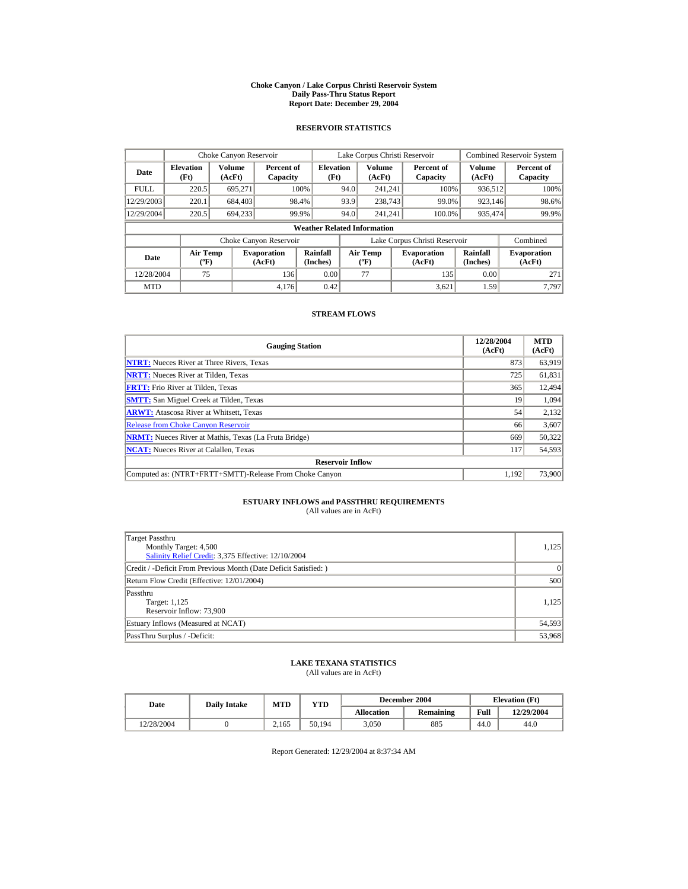#### **Choke Canyon / Lake Corpus Christi Reservoir System Daily Pass-Thru Status Report Report Date: December 29, 2004**

## **RESERVOIR STATISTICS**

|             | Choke Canyon Reservoir                      |                  |                              |                          | Lake Corpus Christi Reservoir |                                             |  |                               |                      | <b>Combined Reservoir System</b> |  |  |
|-------------|---------------------------------------------|------------------|------------------------------|--------------------------|-------------------------------|---------------------------------------------|--|-------------------------------|----------------------|----------------------------------|--|--|
| Date        | <b>Elevation</b><br>(Ft)                    | Volume<br>(AcFt) | Percent of<br>Capacity       | <b>Elevation</b><br>(Ft) |                               | Volume<br>(AcFt)                            |  | Percent of<br>Capacity        | Volume<br>(AcFt)     | Percent of<br>Capacity           |  |  |
| <b>FULL</b> | 220.5                                       | 695.271          |                              | 100%                     | 94.0                          | 241.241                                     |  | 100%                          | 936,512              | 100%                             |  |  |
| 12/29/2003  | 220.1                                       | 684,403          |                              | 98.4%                    | 93.9                          | 238,743                                     |  | 99.0%                         | 923,146              | 98.6%                            |  |  |
| 12/29/2004  | 220.5                                       | 694.233          |                              | 99.9%                    | 94.0                          | 241.241                                     |  | 100.0%                        | 935,474              | 99.9%                            |  |  |
|             | <b>Weather Related Information</b>          |                  |                              |                          |                               |                                             |  |                               |                      |                                  |  |  |
|             |                                             |                  | Choke Canyon Reservoir       |                          |                               |                                             |  | Lake Corpus Christi Reservoir |                      | Combined                         |  |  |
| Date        | <b>Air Temp</b><br>$({}^{\circ}\mathrm{F})$ |                  | <b>Evaporation</b><br>(AcFt) | Rainfall<br>(Inches)     |                               | <b>Air Temp</b><br>$({}^{\circ}\mathbf{F})$ |  | <b>Evaporation</b><br>(AcFt)  | Rainfall<br>(Inches) | <b>Evaporation</b><br>(AcFt)     |  |  |
| 12/28/2004  | 75                                          |                  | 136                          | 0.00                     |                               | 77                                          |  | 135                           | 0.00                 | 271                              |  |  |
| <b>MTD</b>  |                                             |                  | 4.176                        | 0.42                     |                               |                                             |  | 3.621                         | 1.59                 | 7.797                            |  |  |

### **STREAM FLOWS**

| <b>Gauging Station</b>                                       | 12/28/2004<br>(AcFt) | <b>MTD</b><br>(AcFt) |
|--------------------------------------------------------------|----------------------|----------------------|
| <b>NTRT:</b> Nueces River at Three Rivers, Texas             | 873                  | 63,919               |
| <b>NRTT:</b> Nueces River at Tilden, Texas                   | 725                  | 61,831               |
| <b>FRTT:</b> Frio River at Tilden, Texas                     | 365                  | 12,494               |
| <b>SMTT:</b> San Miguel Creek at Tilden, Texas               | 19                   | 1,094                |
| <b>ARWT:</b> Atascosa River at Whitsett, Texas               | 54                   | 2,132                |
| <b>Release from Choke Canyon Reservoir</b>                   | 66                   | 3,607                |
| <b>NRMT:</b> Nueces River at Mathis, Texas (La Fruta Bridge) | 669                  | 50,322               |
| <b>NCAT:</b> Nueces River at Calallen, Texas                 | 117                  | 54,593               |
| <b>Reservoir Inflow</b>                                      |                      |                      |
| Computed as: (NTRT+FRTT+SMTT)-Release From Choke Canyon      | 1.192                | 73,900               |

# **ESTUARY INFLOWS and PASSTHRU REQUIREMENTS**<br>(All values are in AcFt)

| Target Passthru<br>Monthly Target: 4,500<br>Salinity Relief Credit: 3,375 Effective: 12/10/2004 | 1,125  |
|-------------------------------------------------------------------------------------------------|--------|
| Credit / -Deficit From Previous Month (Date Deficit Satisfied:)                                 | 0      |
| Return Flow Credit (Effective: 12/01/2004)                                                      | 500    |
| Passthru<br>Target: 1,125<br>Reservoir Inflow: 73,900                                           | 1.125  |
| Estuary Inflows (Measured at NCAT)                                                              | 54,593 |
| PassThru Surplus / -Deficit:                                                                    | 53,968 |

## **LAKE TEXANA STATISTICS**

(All values are in AcFt)

| Date       | <b>Daily Intake</b> | <b>MTD</b> | VTD    |            | December 2004 | <b>Elevation</b> (Ft) |            |
|------------|---------------------|------------|--------|------------|---------------|-----------------------|------------|
|            |                     |            |        | Allocation | Remaining     | Full                  | 12/29/2004 |
| 12/28/2004 |                     | 2.165      | 50.194 | 3.050      | 885           | 44.0                  | 44.0       |

Report Generated: 12/29/2004 at 8:37:34 AM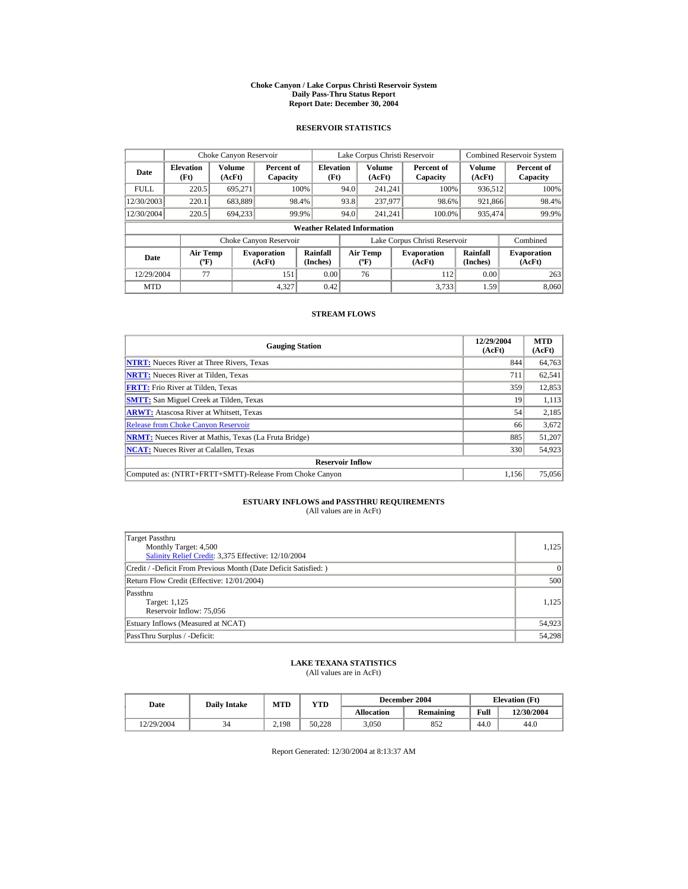#### **Choke Canyon / Lake Corpus Christi Reservoir System Daily Pass-Thru Status Report Report Date: December 30, 2004**

## **RESERVOIR STATISTICS**

|             | Choke Canyon Reservoir                      |                  |                              |                          | Lake Corpus Christi Reservoir |                                             |  |                               |                      | <b>Combined Reservoir System</b> |  |  |
|-------------|---------------------------------------------|------------------|------------------------------|--------------------------|-------------------------------|---------------------------------------------|--|-------------------------------|----------------------|----------------------------------|--|--|
| Date        | <b>Elevation</b><br>(Ft)                    | Volume<br>(AcFt) | Percent of<br>Capacity       | <b>Elevation</b><br>(Ft) |                               | Volume<br>(AcFt)                            |  | Percent of<br>Capacity        | Volume<br>(AcFt)     | Percent of<br>Capacity           |  |  |
| <b>FULL</b> | 220.5                                       | 695.271          |                              | 100%                     | 94.0                          | 241.241                                     |  | 100%                          | 936,512              | 100%                             |  |  |
| 12/30/2003  | 220.1                                       | 683,889          |                              | 98.4%                    | 93.8                          | 237,977                                     |  | 98.6%                         | 921,866              | 98.4%                            |  |  |
| 12/30/2004  | 220.5                                       | 694.233          |                              | 99.9%                    | 94.0                          | 241.241                                     |  | 100.0%                        | 935,474              | 99.9%                            |  |  |
|             | <b>Weather Related Information</b>          |                  |                              |                          |                               |                                             |  |                               |                      |                                  |  |  |
|             |                                             |                  | Choke Canyon Reservoir       |                          |                               |                                             |  | Lake Corpus Christi Reservoir |                      | Combined                         |  |  |
| Date        | <b>Air Temp</b><br>$({}^{\circ}\mathrm{F})$ |                  | <b>Evaporation</b><br>(AcFt) | Rainfall<br>(Inches)     |                               | <b>Air Temp</b><br>$({}^{\circ}\mathbf{F})$ |  | <b>Evaporation</b><br>(AcFt)  | Rainfall<br>(Inches) | <b>Evaporation</b><br>(AcFt)     |  |  |
| 12/29/2004  | 77                                          |                  | 151                          | 0.00                     |                               | 76                                          |  | 112                           | 0.00                 | 263                              |  |  |
| <b>MTD</b>  |                                             |                  | 4.327                        | 0.42                     |                               |                                             |  | 3.733                         | 1.59                 | 8.060                            |  |  |

### **STREAM FLOWS**

| <b>Gauging Station</b>                                       | 12/29/2004<br>(AcFt) | <b>MTD</b><br>(AcFt) |
|--------------------------------------------------------------|----------------------|----------------------|
| <b>NTRT:</b> Nueces River at Three Rivers, Texas             | 844                  | 64,763               |
| <b>NRTT:</b> Nueces River at Tilden, Texas                   | 711                  | 62,541               |
| <b>FRTT:</b> Frio River at Tilden, Texas                     | 359                  | 12,853               |
| <b>SMTT:</b> San Miguel Creek at Tilden, Texas               | 19                   | 1,113                |
| <b>ARWT:</b> Atascosa River at Whitsett, Texas               | 54                   | 2,185                |
| <b>Release from Choke Canvon Reservoir</b>                   | 66                   | 3,672                |
| <b>NRMT:</b> Nueces River at Mathis, Texas (La Fruta Bridge) | 885                  | 51,207               |
| <b>NCAT:</b> Nueces River at Calallen, Texas                 | 330                  | 54,923               |
| <b>Reservoir Inflow</b>                                      |                      |                      |
| Computed as: (NTRT+FRTT+SMTT)-Release From Choke Canyon      | 1,156                | 75,056               |

# **ESTUARY INFLOWS and PASSTHRU REQUIREMENTS**<br>(All values are in AcFt)

| Target Passthru<br>Monthly Target: 4,500<br>Salinity Relief Credit: 3,375 Effective: 12/10/2004 | 1,125  |
|-------------------------------------------------------------------------------------------------|--------|
| Credit / -Deficit From Previous Month (Date Deficit Satisfied:)                                 | 0      |
| Return Flow Credit (Effective: 12/01/2004)                                                      | 500    |
| Passthru<br>Target: 1,125<br>Reservoir Inflow: 75,056                                           | 1.125  |
| Estuary Inflows (Measured at NCAT)                                                              | 54,923 |
| PassThru Surplus / -Deficit:                                                                    | 54,298 |

## **LAKE TEXANA STATISTICS**

(All values are in AcFt)

| Date       | <b>Daily Intake</b> | <b>MTD</b> | VTD    |            | December 2004 | <b>Elevation</b> (Ft) |            |
|------------|---------------------|------------|--------|------------|---------------|-----------------------|------------|
|            |                     |            |        | Allocation | Remaining     | Full                  | 12/30/2004 |
| 12/29/2004 | 34                  | 2.198      | 50.228 | 3.050      | 852           | 44.0                  | 44.0       |

Report Generated: 12/30/2004 at 8:13:37 AM